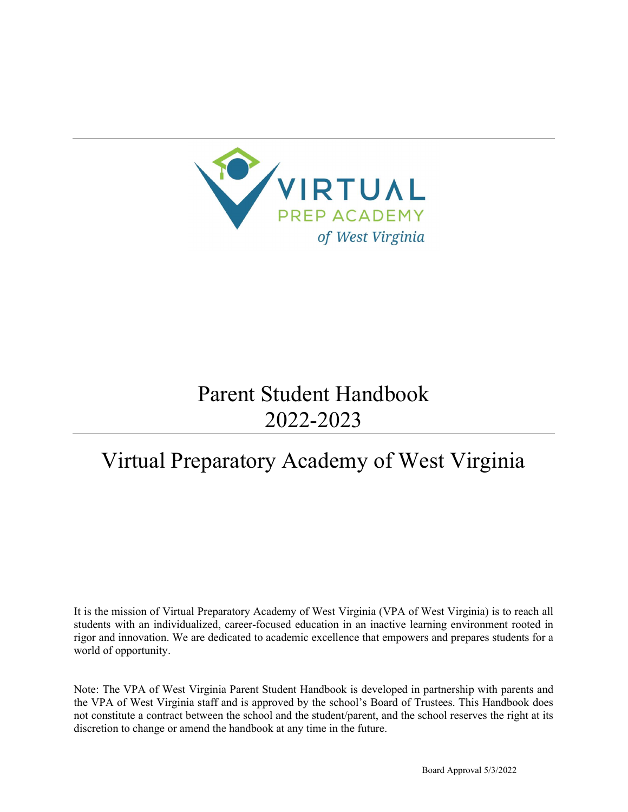

# Parent Student Handbook 2022-2023

# Virtual Preparatory Academy of West Virginia

It is the mission of Virtual Preparatory Academy of West Virginia (VPA of West Virginia) is to reach all students with an individualized, career-focused education in an inactive learning environment rooted in rigor and innovation. We are dedicated to academic excellence that empowers and prepares students for a world of opportunity.

Note: The VPA of West Virginia Parent Student Handbook is developed in partnership with parents and the VPA of West Virginia staff and is approved by the school's Board of Trustees. This Handbook does not constitute a contract between the school and the student/parent, and the school reserves the right at its discretion to change or amend the handbook at any time in the future.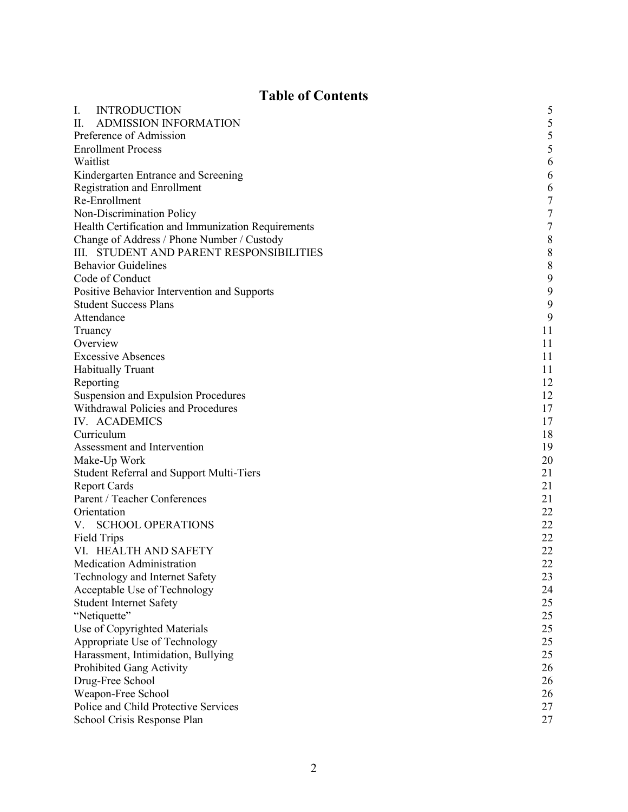# Table of Contents

| I.                        | <b>INTRODUCTION</b>                                | 5                |  |  |
|---------------------------|----------------------------------------------------|------------------|--|--|
| П.                        | <b>ADMISSION INFORMATION</b>                       | 5                |  |  |
|                           | Preference of Admission                            | 5                |  |  |
| <b>Enrollment Process</b> |                                                    |                  |  |  |
| Waitlist                  |                                                    | 5<br>6           |  |  |
|                           | Kindergarten Entrance and Screening                | 6                |  |  |
|                           | <b>Registration and Enrollment</b>                 | 6                |  |  |
|                           | Re-Enrollment                                      | $\boldsymbol{7}$ |  |  |
|                           | Non-Discrimination Policy                          | $\overline{7}$   |  |  |
|                           | Health Certification and Immunization Requirements | $\sqrt{ }$       |  |  |
|                           | Change of Address / Phone Number / Custody         | $\,$ $\,$        |  |  |
|                           | III. STUDENT AND PARENT RESPONSIBILITIES           | $\,8\,$          |  |  |
|                           | <b>Behavior Guidelines</b>                         | $\,8\,$          |  |  |
|                           | Code of Conduct                                    | $\mathbf{9}$     |  |  |
|                           | Positive Behavior Intervention and Supports        | 9                |  |  |
|                           | <b>Student Success Plans</b>                       | 9                |  |  |
|                           | Attendance                                         | 9                |  |  |
| Truancy                   |                                                    | 11               |  |  |
|                           | Overview                                           | 11               |  |  |
|                           | <b>Excessive Absences</b>                          | 11               |  |  |
|                           | <b>Habitually Truant</b>                           | 11               |  |  |
|                           | Reporting                                          | 12               |  |  |
|                           | Suspension and Expulsion Procedures                | 12               |  |  |
|                           | Withdrawal Policies and Procedures                 | 17               |  |  |
|                           | IV. ACADEMICS                                      | 17               |  |  |
|                           | Curriculum                                         | 18               |  |  |
|                           | Assessment and Intervention                        | 19               |  |  |
|                           | Make-Up Work                                       | 20               |  |  |
|                           | <b>Student Referral and Support Multi-Tiers</b>    | 21               |  |  |
|                           | <b>Report Cards</b>                                | 21               |  |  |
|                           | Parent / Teacher Conferences                       | 21               |  |  |
|                           | Orientation                                        | 22               |  |  |
| V.                        | <b>SCHOOL OPERATIONS</b>                           | 22               |  |  |
|                           | Field Trips                                        | 22               |  |  |
|                           | VI. HEALTH AND SAFETY                              | 22               |  |  |
|                           | Medication Administration                          | 22               |  |  |
|                           | Technology and Internet Safety                     | 23               |  |  |
|                           | Acceptable Use of Technology                       | 24               |  |  |
|                           | <b>Student Internet Safety</b>                     | 25               |  |  |
|                           | "Netiquette"                                       | 25               |  |  |
|                           | Use of Copyrighted Materials                       | 25               |  |  |
|                           | Appropriate Use of Technology                      | 25               |  |  |
|                           | Harassment, Intimidation, Bullying                 | 25               |  |  |
|                           | Prohibited Gang Activity                           | 26               |  |  |
|                           | Drug-Free School                                   | 26               |  |  |
|                           | Weapon-Free School                                 | 26               |  |  |
|                           | Police and Child Protective Services               | 27               |  |  |
|                           | School Crisis Response Plan                        | 27               |  |  |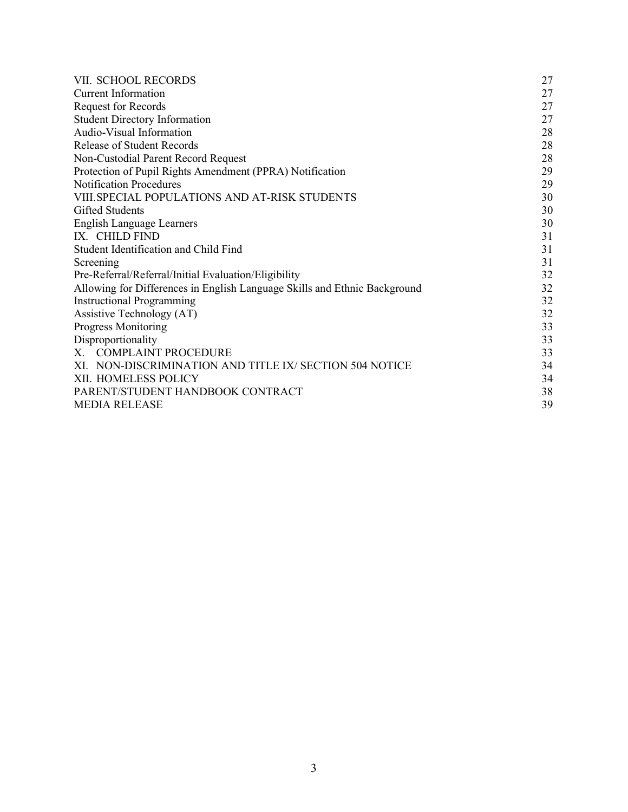| VII. SCHOOL RECORDS                                                       | 27 |  |  |
|---------------------------------------------------------------------------|----|--|--|
| <b>Current Information</b>                                                | 27 |  |  |
| <b>Request for Records</b>                                                | 27 |  |  |
| <b>Student Directory Information</b>                                      | 27 |  |  |
| Audio-Visual Information                                                  | 28 |  |  |
| <b>Release of Student Records</b>                                         | 28 |  |  |
| Non-Custodial Parent Record Request                                       | 28 |  |  |
| Protection of Pupil Rights Amendment (PPRA) Notification                  | 29 |  |  |
| <b>Notification Procedures</b>                                            | 29 |  |  |
| VIII. SPECIAL POPULATIONS AND AT-RISK STUDENTS                            | 30 |  |  |
| Gifted Students                                                           | 30 |  |  |
| <b>English Language Learners</b>                                          | 30 |  |  |
| IX. CHILD FIND                                                            | 31 |  |  |
| Student Identification and Child Find                                     | 31 |  |  |
| Screening                                                                 | 31 |  |  |
| Pre-Referral/Referral/Initial Evaluation/Eligibility                      | 32 |  |  |
| Allowing for Differences in English Language Skills and Ethnic Background | 32 |  |  |
| <b>Instructional Programming</b>                                          |    |  |  |
| Assistive Technology (AT)                                                 | 32 |  |  |
| <b>Progress Monitoring</b>                                                | 33 |  |  |
| Disproportionality                                                        | 33 |  |  |
| X. COMPLAINT PROCEDURE                                                    | 33 |  |  |
| XI. NON-DISCRIMINATION AND TITLE IX/ SECTION 504 NOTICE                   | 34 |  |  |
| XII. HOMELESS POLICY                                                      | 34 |  |  |
| PARENT/STUDENT HANDBOOK CONTRACT                                          |    |  |  |
| <b>MEDIA RELEASE</b>                                                      |    |  |  |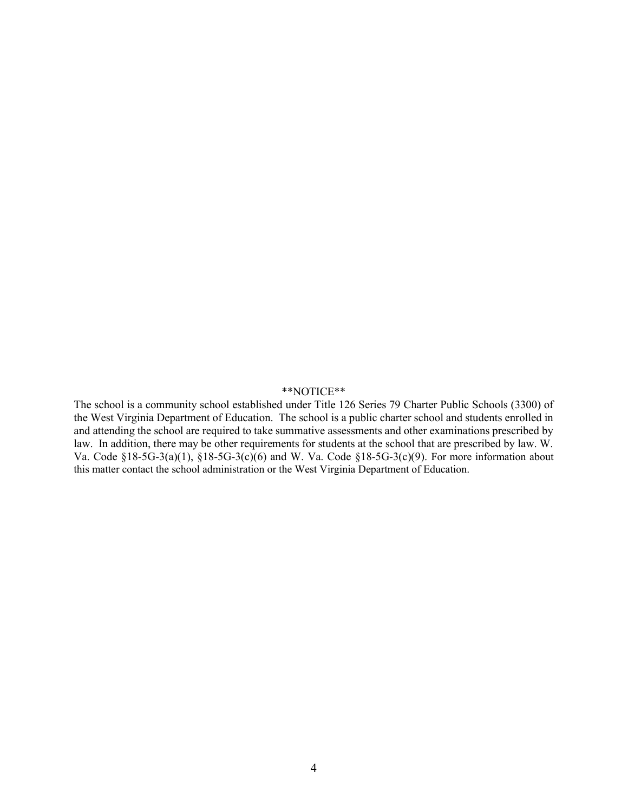#### \*\*NOTICE\*\*

The school is a community school established under Title 126 Series 79 Charter Public Schools (3300) of the West Virginia Department of Education. The school is a public charter school and students enrolled in and attending the school are required to take summative assessments and other examinations prescribed by law. In addition, there may be other requirements for students at the school that are prescribed by law. W. Va. Code §18-5G-3(a)(1), §18-5G-3(c)(6) and W. Va. Code §18-5G-3(c)(9). For more information about this matter contact the school administration or the West Virginia Department of Education.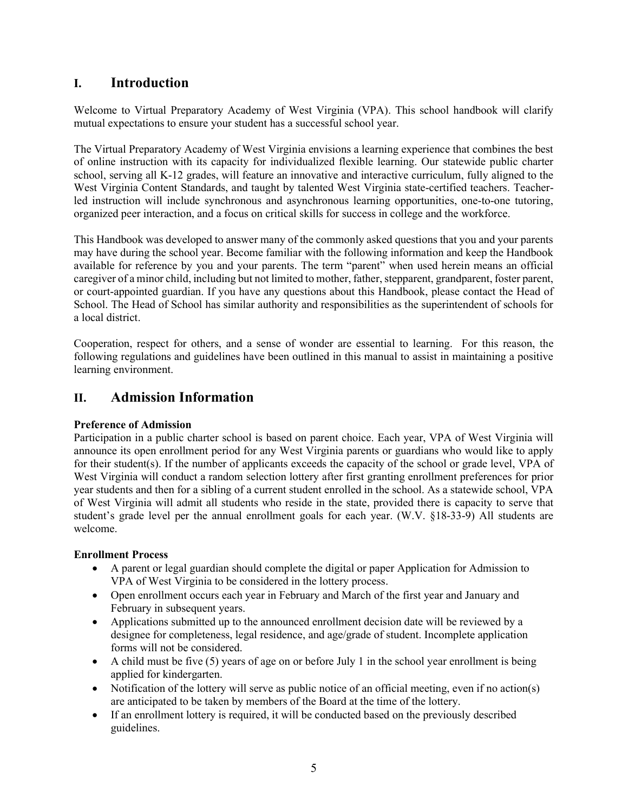# I. Introduction

Welcome to Virtual Preparatory Academy of West Virginia (VPA). This school handbook will clarify mutual expectations to ensure your student has a successful school year.

The Virtual Preparatory Academy of West Virginia envisions a learning experience that combines the best of online instruction with its capacity for individualized flexible learning. Our statewide public charter school, serving all K-12 grades, will feature an innovative and interactive curriculum, fully aligned to the West Virginia Content Standards, and taught by talented West Virginia state-certified teachers. Teacherled instruction will include synchronous and asynchronous learning opportunities, one-to-one tutoring, organized peer interaction, and a focus on critical skills for success in college and the workforce.

This Handbook was developed to answer many of the commonly asked questions that you and your parents may have during the school year. Become familiar with the following information and keep the Handbook available for reference by you and your parents. The term "parent" when used herein means an official caregiver of a minor child, including but not limited to mother, father, stepparent, grandparent, foster parent, or court-appointed guardian. If you have any questions about this Handbook, please contact the Head of School. The Head of School has similar authority and responsibilities as the superintendent of schools for a local district.

Cooperation, respect for others, and a sense of wonder are essential to learning. For this reason, the following regulations and guidelines have been outlined in this manual to assist in maintaining a positive learning environment.

# II. Admission Information

# Preference of Admission

Participation in a public charter school is based on parent choice. Each year, VPA of West Virginia will announce its open enrollment period for any West Virginia parents or guardians who would like to apply for their student(s). If the number of applicants exceeds the capacity of the school or grade level, VPA of West Virginia will conduct a random selection lottery after first granting enrollment preferences for prior year students and then for a sibling of a current student enrolled in the school. As a statewide school, VPA of West Virginia will admit all students who reside in the state, provided there is capacity to serve that student's grade level per the annual enrollment goals for each year. (W.V. §18-33-9) All students are welcome.

# Enrollment Process

- A parent or legal guardian should complete the digital or paper Application for Admission to VPA of West Virginia to be considered in the lottery process.
- Open enrollment occurs each year in February and March of the first year and January and February in subsequent years.
- Applications submitted up to the announced enrollment decision date will be reviewed by a designee for completeness, legal residence, and age/grade of student. Incomplete application forms will not be considered.
- $\bullet$  A child must be five (5) years of age on or before July 1 in the school year enrollment is being applied for kindergarten.
- Notification of the lottery will serve as public notice of an official meeting, even if no action(s) are anticipated to be taken by members of the Board at the time of the lottery.
- If an enrollment lottery is required, it will be conducted based on the previously described guidelines.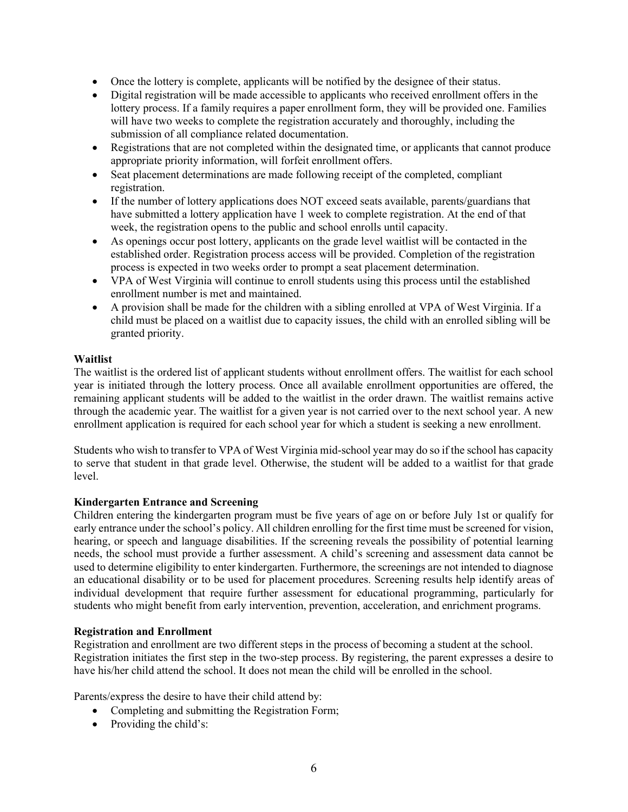- Once the lottery is complete, applicants will be notified by the designee of their status.
- Digital registration will be made accessible to applicants who received enrollment offers in the lottery process. If a family requires a paper enrollment form, they will be provided one. Families will have two weeks to complete the registration accurately and thoroughly, including the submission of all compliance related documentation.
- Registrations that are not completed within the designated time, or applicants that cannot produce appropriate priority information, will forfeit enrollment offers.
- Seat placement determinations are made following receipt of the completed, compliant registration.
- If the number of lottery applications does NOT exceed seats available, parents/guardians that have submitted a lottery application have 1 week to complete registration. At the end of that week, the registration opens to the public and school enrolls until capacity.
- As openings occur post lottery, applicants on the grade level waitlist will be contacted in the established order. Registration process access will be provided. Completion of the registration process is expected in two weeks order to prompt a seat placement determination.
- VPA of West Virginia will continue to enroll students using this process until the established enrollment number is met and maintained.
- A provision shall be made for the children with a sibling enrolled at VPA of West Virginia. If a child must be placed on a waitlist due to capacity issues, the child with an enrolled sibling will be granted priority.

# Waitlist

The waitlist is the ordered list of applicant students without enrollment offers. The waitlist for each school year is initiated through the lottery process. Once all available enrollment opportunities are offered, the remaining applicant students will be added to the waitlist in the order drawn. The waitlist remains active through the academic year. The waitlist for a given year is not carried over to the next school year. A new enrollment application is required for each school year for which a student is seeking a new enrollment.

Students who wish to transfer to VPA of West Virginia mid-school year may do so if the school has capacity to serve that student in that grade level. Otherwise, the student will be added to a waitlist for that grade level.

# Kindergarten Entrance and Screening

Children entering the kindergarten program must be five years of age on or before July 1st or qualify for early entrance under the school's policy. All children enrolling for the first time must be screened for vision, hearing, or speech and language disabilities. If the screening reveals the possibility of potential learning needs, the school must provide a further assessment. A child's screening and assessment data cannot be used to determine eligibility to enter kindergarten. Furthermore, the screenings are not intended to diagnose an educational disability or to be used for placement procedures. Screening results help identify areas of individual development that require further assessment for educational programming, particularly for students who might benefit from early intervention, prevention, acceleration, and enrichment programs.

# Registration and Enrollment

Registration and enrollment are two different steps in the process of becoming a student at the school. Registration initiates the first step in the two-step process. By registering, the parent expresses a desire to have his/her child attend the school. It does not mean the child will be enrolled in the school.

Parents/express the desire to have their child attend by:

- Completing and submitting the Registration Form;
- Providing the child's: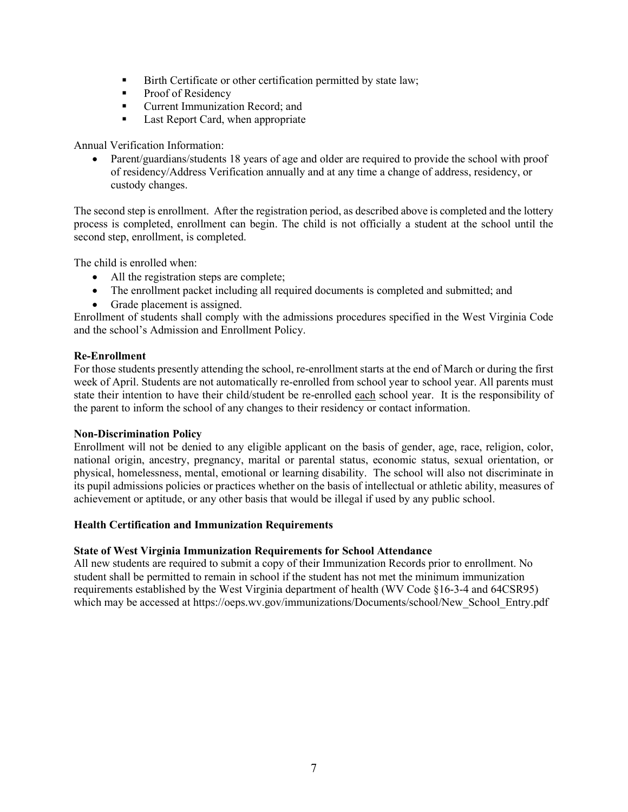- Birth Certificate or other certification permitted by state law;
- **Proof of Residency**
- Current Immunization Record; and
- Last Report Card, when appropriate

# Annual Verification Information:

 Parent/guardians/students 18 years of age and older are required to provide the school with proof of residency/Address Verification annually and at any time a change of address, residency, or custody changes.

The second step is enrollment. After the registration period, as described above is completed and the lottery process is completed, enrollment can begin. The child is not officially a student at the school until the second step, enrollment, is completed.

The child is enrolled when:

- All the registration steps are complete;
- The enrollment packet including all required documents is completed and submitted; and
- Grade placement is assigned.

Enrollment of students shall comply with the admissions procedures specified in the West Virginia Code and the school's Admission and Enrollment Policy.

# Re-Enrollment

For those students presently attending the school, re-enrollment starts at the end of March or during the first week of April. Students are not automatically re-enrolled from school year to school year. All parents must state their intention to have their child/student be re-enrolled each school year. It is the responsibility of the parent to inform the school of any changes to their residency or contact information.

# Non-Discrimination Policy

Enrollment will not be denied to any eligible applicant on the basis of gender, age, race, religion, color, national origin, ancestry, pregnancy, marital or parental status, economic status, sexual orientation, or physical, homelessness, mental, emotional or learning disability. The school will also not discriminate in its pupil admissions policies or practices whether on the basis of intellectual or athletic ability, measures of achievement or aptitude, or any other basis that would be illegal if used by any public school.

# Health Certification and Immunization Requirements

# State of West Virginia Immunization Requirements for School Attendance

All new students are required to submit a copy of their Immunization Records prior to enrollment. No student shall be permitted to remain in school if the student has not met the minimum immunization requirements established by the West Virginia department of health (WV Code §16-3-4 and 64CSR95) which may be accessed at https://oeps.wv.gov/immunizations/Documents/school/New\_School\_Entry.pdf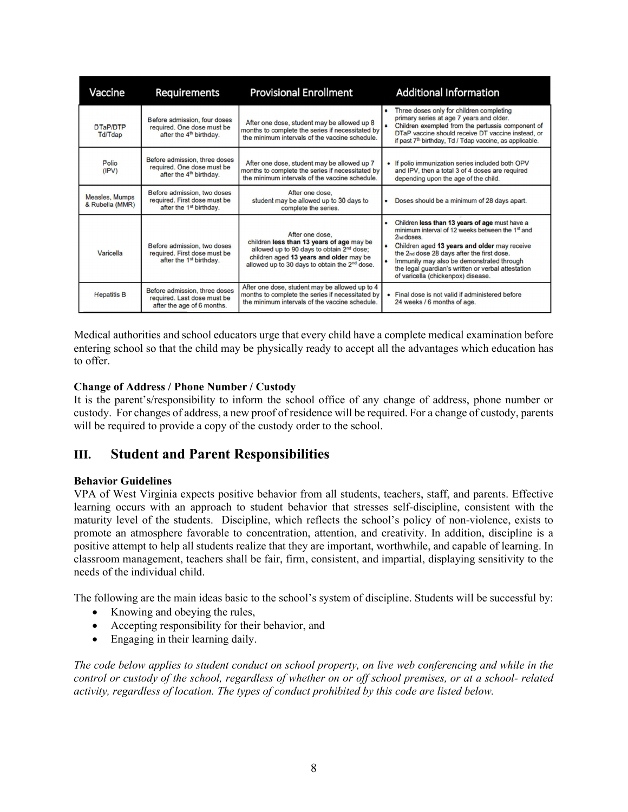| Vaccine                           | <b>Requirements</b>                                                                                | <b>Provisional Enrollment</b>                                                                                                                                                                                                 | <b>Additional Information</b>                                                                                                                                                                                                                                                                                                                                            |
|-----------------------------------|----------------------------------------------------------------------------------------------------|-------------------------------------------------------------------------------------------------------------------------------------------------------------------------------------------------------------------------------|--------------------------------------------------------------------------------------------------------------------------------------------------------------------------------------------------------------------------------------------------------------------------------------------------------------------------------------------------------------------------|
| DTaP/DTP<br>Td/Tdap               | Before admission, four doses<br>required. One dose must be<br>after the 4 <sup>th</sup> birthday.  | After one dose, student may be allowed up 8<br>months to complete the series if necessitated by<br>the minimum intervals of the vaccine schedule.                                                                             | Three doses only for children completing<br>primary series at age 7 years and older.<br>Children exempted from the pertussis component of<br>DTaP vaccine should receive DT vaccine instead, or<br>if past 7 <sup>th</sup> birthday, Td / Tdap vaccine, as applicable.                                                                                                   |
| Polio<br>(IPV)                    | Before admission, three doses<br>required. One dose must be<br>after the 4 <sup>th</sup> birthday. | After one dose, student may be allowed up 7<br>months to complete the series if necessitated by<br>the minimum intervals of the vaccine schedule.                                                                             | • If polio immunization series included both OPV<br>and IPV, then a total 3 of 4 doses are required<br>depending upon the age of the child.                                                                                                                                                                                                                              |
| Measles, Mumps<br>& Rubella (MMR) | Before admission, two doses<br>required. First dose must be<br>after the 1 <sup>st</sup> birthday. | After one dose.<br>student may be allowed up to 30 days to<br>complete the series.                                                                                                                                            | Doses should be a minimum of 28 days apart.                                                                                                                                                                                                                                                                                                                              |
| Varicella                         | Before admission, two doses<br>required. First dose must be<br>after the 1 <sup>st</sup> birthday. | After one dose.<br>children less than 13 years of age may be<br>allowed up to 90 days to obtain 2 <sup>nd</sup> dose;<br>children aged 13 years and older may be<br>allowed up to 30 days to obtain the 2 <sup>nd</sup> dose. | Children less than 13 years of age must have a<br>minimum interval of 12 weeks between the 1 <sup>st</sup> and<br>2nd doses.<br>Children aged 13 years and older may receive<br>٠<br>the 2nd dose 28 days after the first dose.<br>Immunity may also be demonstrated through<br>the legal guardian's written or verbal attestation<br>of varicella (chickenpox) disease. |
| <b>Hepatitis B</b>                | Before admission, three doses<br>required. Last dose must be<br>after the age of 6 months.         | After one dose, student may be allowed up to 4<br>months to complete the series if necessitated by<br>the minimum intervals of the vaccine schedule.                                                                          | • Final dose is not valid if administered before<br>24 weeks / 6 months of age.                                                                                                                                                                                                                                                                                          |

Medical authorities and school educators urge that every child have a complete medical examination before entering school so that the child may be physically ready to accept all the advantages which education has to offer.

# Change of Address / Phone Number / Custody

It is the parent's/responsibility to inform the school office of any change of address, phone number or custody. For changes of address, a new proof of residence will be required. For a change of custody, parents will be required to provide a copy of the custody order to the school.

# III. Student and Parent Responsibilities

# Behavior Guidelines

VPA of West Virginia expects positive behavior from all students, teachers, staff, and parents. Effective learning occurs with an approach to student behavior that stresses self-discipline, consistent with the maturity level of the students. Discipline, which reflects the school's policy of non-violence, exists to promote an atmosphere favorable to concentration, attention, and creativity. In addition, discipline is a positive attempt to help all students realize that they are important, worthwhile, and capable of learning. In classroom management, teachers shall be fair, firm, consistent, and impartial, displaying sensitivity to the needs of the individual child.

The following are the main ideas basic to the school's system of discipline. Students will be successful by:

- Knowing and obeying the rules,
- Accepting responsibility for their behavior, and
- Engaging in their learning daily.

The code below applies to student conduct on school property, on live web conferencing and while in the control or custody of the school, regardless of whether on or off school premises, or at a school- related activity, regardless of location. The types of conduct prohibited by this code are listed below.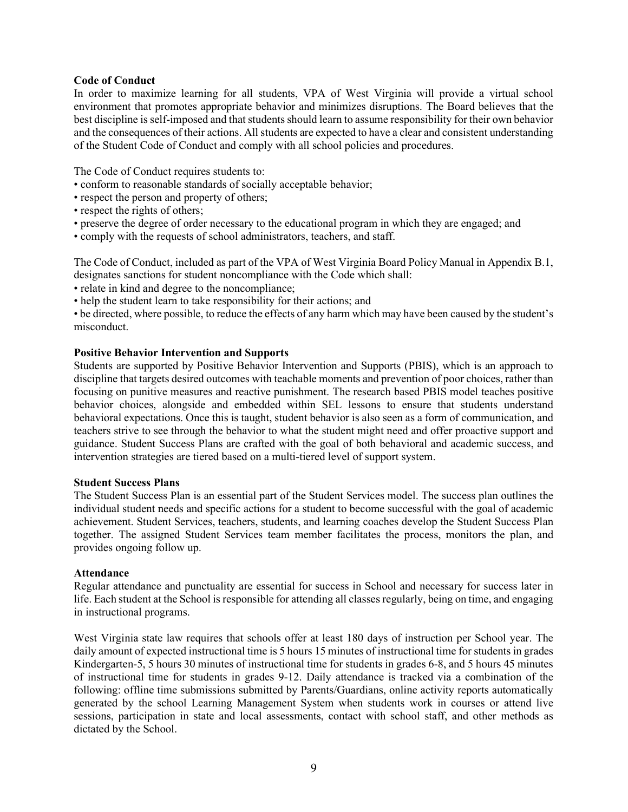#### Code of Conduct

In order to maximize learning for all students, VPA of West Virginia will provide a virtual school environment that promotes appropriate behavior and minimizes disruptions. The Board believes that the best discipline is self-imposed and that students should learn to assume responsibility for their own behavior and the consequences of their actions. All students are expected to have a clear and consistent understanding of the Student Code of Conduct and comply with all school policies and procedures.

The Code of Conduct requires students to:

- conform to reasonable standards of socially acceptable behavior;
- respect the person and property of others;
- respect the rights of others;
- preserve the degree of order necessary to the educational program in which they are engaged; and
- comply with the requests of school administrators, teachers, and staff.

The Code of Conduct, included as part of the VPA of West Virginia Board Policy Manual in Appendix B.1, designates sanctions for student noncompliance with the Code which shall:

- relate in kind and degree to the noncompliance;
- help the student learn to take responsibility for their actions; and

• be directed, where possible, to reduce the effects of any harm which may have been caused by the student's misconduct.

#### Positive Behavior Intervention and Supports

Students are supported by Positive Behavior Intervention and Supports (PBIS), which is an approach to discipline that targets desired outcomes with teachable moments and prevention of poor choices, rather than focusing on punitive measures and reactive punishment. The research based PBIS model teaches positive behavior choices, alongside and embedded within SEL lessons to ensure that students understand behavioral expectations. Once this is taught, student behavior is also seen as a form of communication, and teachers strive to see through the behavior to what the student might need and offer proactive support and guidance. Student Success Plans are crafted with the goal of both behavioral and academic success, and intervention strategies are tiered based on a multi-tiered level of support system.

#### Student Success Plans

The Student Success Plan is an essential part of the Student Services model. The success plan outlines the individual student needs and specific actions for a student to become successful with the goal of academic achievement. Student Services, teachers, students, and learning coaches develop the Student Success Plan together. The assigned Student Services team member facilitates the process, monitors the plan, and provides ongoing follow up.

#### Attendance

Regular attendance and punctuality are essential for success in School and necessary for success later in life. Each student at the School is responsible for attending all classes regularly, being on time, and engaging in instructional programs.

West Virginia state law requires that schools offer at least 180 days of instruction per School year. The daily amount of expected instructional time is 5 hours 15 minutes of instructional time for students in grades Kindergarten-5, 5 hours 30 minutes of instructional time for students in grades 6-8, and 5 hours 45 minutes of instructional time for students in grades 9-12. Daily attendance is tracked via a combination of the following: offline time submissions submitted by Parents/Guardians, online activity reports automatically generated by the school Learning Management System when students work in courses or attend live sessions, participation in state and local assessments, contact with school staff, and other methods as dictated by the School.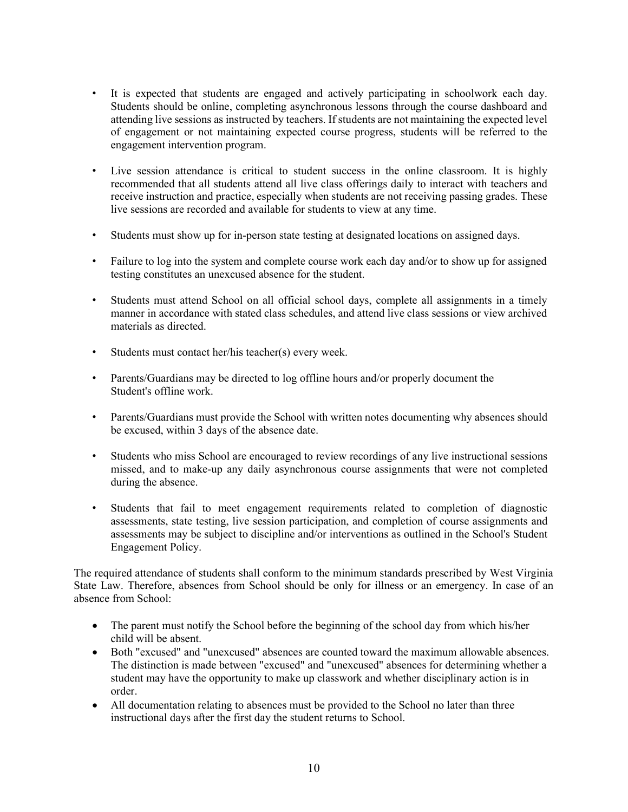- It is expected that students are engaged and actively participating in schoolwork each day. Students should be online, completing asynchronous lessons through the course dashboard and attending live sessions as instructed by teachers. If students are not maintaining the expected level of engagement or not maintaining expected course progress, students will be referred to the engagement intervention program.
- Live session attendance is critical to student success in the online classroom. It is highly recommended that all students attend all live class offerings daily to interact with teachers and receive instruction and practice, especially when students are not receiving passing grades. These live sessions are recorded and available for students to view at any time.
- Students must show up for in-person state testing at designated locations on assigned days.
- Failure to log into the system and complete course work each day and/or to show up for assigned testing constitutes an unexcused absence for the student.
- Students must attend School on all official school days, complete all assignments in a timely manner in accordance with stated class schedules, and attend live class sessions or view archived materials as directed.
- Students must contact her/his teacher(s) every week.
- Parents/Guardians may be directed to log offline hours and/or properly document the Student's offline work.
- Parents/Guardians must provide the School with written notes documenting why absences should be excused, within 3 days of the absence date.
- Students who miss School are encouraged to review recordings of any live instructional sessions missed, and to make-up any daily asynchronous course assignments that were not completed during the absence.
- Students that fail to meet engagement requirements related to completion of diagnostic assessments, state testing, live session participation, and completion of course assignments and assessments may be subject to discipline and/or interventions as outlined in the School's Student Engagement Policy.

The required attendance of students shall conform to the minimum standards prescribed by West Virginia State Law. Therefore, absences from School should be only for illness or an emergency. In case of an absence from School:

- The parent must notify the School before the beginning of the school day from which his/her child will be absent.
- Both "excused" and "unexcused" absences are counted toward the maximum allowable absences. The distinction is made between "excused" and "unexcused" absences for determining whether a student may have the opportunity to make up classwork and whether disciplinary action is in order.
- All documentation relating to absences must be provided to the School no later than three instructional days after the first day the student returns to School.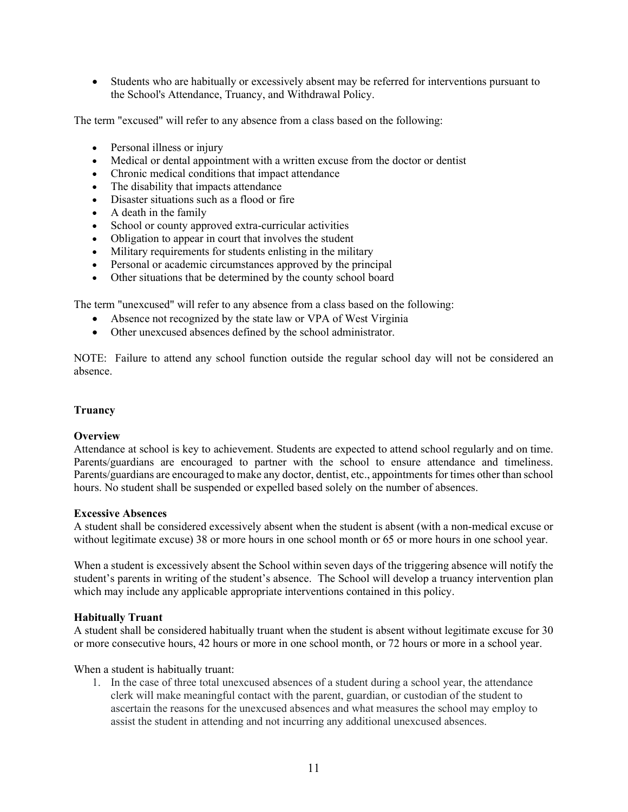Students who are habitually or excessively absent may be referred for interventions pursuant to the School's Attendance, Truancy, and Withdrawal Policy.

The term "excused" will refer to any absence from a class based on the following:

- Personal illness or injury
- Medical or dental appointment with a written excuse from the doctor or dentist
- Chronic medical conditions that impact attendance
- The disability that impacts attendance
- Disaster situations such as a flood or fire
- A death in the family
- School or county approved extra-curricular activities
- Obligation to appear in court that involves the student
- Military requirements for students enlisting in the military
- Personal or academic circumstances approved by the principal
- Other situations that be determined by the county school board

The term "unexcused" will refer to any absence from a class based on the following:

- Absence not recognized by the state law or VPA of West Virginia
- Other unexcused absences defined by the school administrator.

NOTE: Failure to attend any school function outside the regular school day will not be considered an absence.

# Truancy

# **Overview**

Attendance at school is key to achievement. Students are expected to attend school regularly and on time. Parents/guardians are encouraged to partner with the school to ensure attendance and timeliness. Parents/guardians are encouraged to make any doctor, dentist, etc., appointments for times other than school hours. No student shall be suspended or expelled based solely on the number of absences.

#### Excessive Absences

A student shall be considered excessively absent when the student is absent (with a non-medical excuse or without legitimate excuse) 38 or more hours in one school month or 65 or more hours in one school year.

When a student is excessively absent the School within seven days of the triggering absence will notify the student's parents in writing of the student's absence. The School will develop a truancy intervention plan which may include any applicable appropriate interventions contained in this policy.

# Habitually Truant

A student shall be considered habitually truant when the student is absent without legitimate excuse for 30 or more consecutive hours, 42 hours or more in one school month, or 72 hours or more in a school year.

When a student is habitually truant:

1. In the case of three total unexcused absences of a student during a school year, the attendance clerk will make meaningful contact with the parent, guardian, or custodian of the student to ascertain the reasons for the unexcused absences and what measures the school may employ to assist the student in attending and not incurring any additional unexcused absences.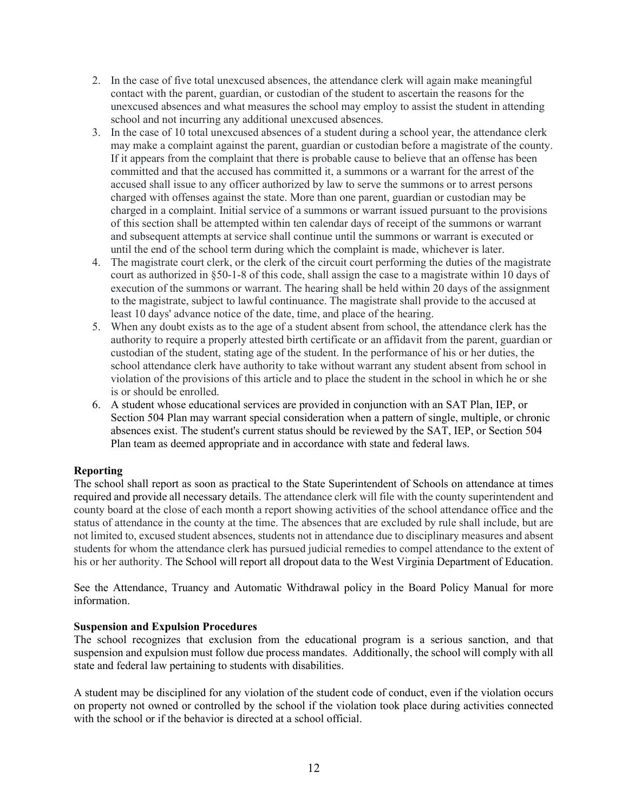- 2. In the case of five total unexcused absences, the attendance clerk will again make meaningful contact with the parent, guardian, or custodian of the student to ascertain the reasons for the unexcused absences and what measures the school may employ to assist the student in attending school and not incurring any additional unexcused absences.
- 3. In the case of 10 total unexcused absences of a student during a school year, the attendance clerk may make a complaint against the parent, guardian or custodian before a magistrate of the county. If it appears from the complaint that there is probable cause to believe that an offense has been committed and that the accused has committed it, a summons or a warrant for the arrest of the accused shall issue to any officer authorized by law to serve the summons or to arrest persons charged with offenses against the state. More than one parent, guardian or custodian may be charged in a complaint. Initial service of a summons or warrant issued pursuant to the provisions of this section shall be attempted within ten calendar days of receipt of the summons or warrant and subsequent attempts at service shall continue until the summons or warrant is executed or until the end of the school term during which the complaint is made, whichever is later.
- 4. The magistrate court clerk, or the clerk of the circuit court performing the duties of the magistrate court as authorized in §50-1-8 of this code, shall assign the case to a magistrate within 10 days of execution of the summons or warrant. The hearing shall be held within 20 days of the assignment to the magistrate, subject to lawful continuance. The magistrate shall provide to the accused at least 10 days' advance notice of the date, time, and place of the hearing.
- 5. When any doubt exists as to the age of a student absent from school, the attendance clerk has the authority to require a properly attested birth certificate or an affidavit from the parent, guardian or custodian of the student, stating age of the student. In the performance of his or her duties, the school attendance clerk have authority to take without warrant any student absent from school in violation of the provisions of this article and to place the student in the school in which he or she is or should be enrolled.
- 6. A student whose educational services are provided in conjunction with an SAT Plan, IEP, or Section 504 Plan may warrant special consideration when a pattern of single, multiple, or chronic absences exist. The student's current status should be reviewed by the SAT, IEP, or Section 504 Plan team as deemed appropriate and in accordance with state and federal laws.

# Reporting

The school shall report as soon as practical to the State Superintendent of Schools on attendance at times required and provide all necessary details. The attendance clerk will file with the county superintendent and county board at the close of each month a report showing activities of the school attendance office and the status of attendance in the county at the time. The absences that are excluded by rule shall include, but are not limited to, excused student absences, students not in attendance due to disciplinary measures and absent students for whom the attendance clerk has pursued judicial remedies to compel attendance to the extent of his or her authority. The School will report all dropout data to the West Virginia Department of Education.

See the Attendance, Truancy and Automatic Withdrawal policy in the Board Policy Manual for more information.

# Suspension and Expulsion Procedures

The school recognizes that exclusion from the educational program is a serious sanction, and that suspension and expulsion must follow due process mandates. Additionally, the school will comply with all state and federal law pertaining to students with disabilities.

A student may be disciplined for any violation of the student code of conduct, even if the violation occurs on property not owned or controlled by the school if the violation took place during activities connected with the school or if the behavior is directed at a school official.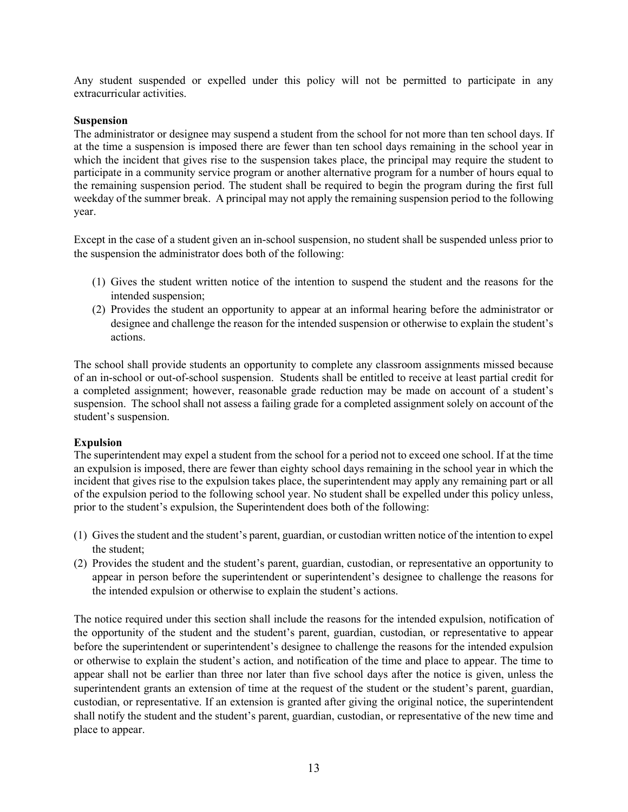Any student suspended or expelled under this policy will not be permitted to participate in any extracurricular activities.

# **Suspension**

The administrator or designee may suspend a student from the school for not more than ten school days. If at the time a suspension is imposed there are fewer than ten school days remaining in the school year in which the incident that gives rise to the suspension takes place, the principal may require the student to participate in a community service program or another alternative program for a number of hours equal to the remaining suspension period. The student shall be required to begin the program during the first full weekday of the summer break. A principal may not apply the remaining suspension period to the following year.

Except in the case of a student given an in-school suspension, no student shall be suspended unless prior to the suspension the administrator does both of the following:

- (1) Gives the student written notice of the intention to suspend the student and the reasons for the intended suspension;
- (2) Provides the student an opportunity to appear at an informal hearing before the administrator or designee and challenge the reason for the intended suspension or otherwise to explain the student's actions.

The school shall provide students an opportunity to complete any classroom assignments missed because of an in-school or out-of-school suspension. Students shall be entitled to receive at least partial credit for a completed assignment; however, reasonable grade reduction may be made on account of a student's suspension. The school shall not assess a failing grade for a completed assignment solely on account of the student's suspension.

# Expulsion

The superintendent may expel a student from the school for a period not to exceed one school. If at the time an expulsion is imposed, there are fewer than eighty school days remaining in the school year in which the incident that gives rise to the expulsion takes place, the superintendent may apply any remaining part or all of the expulsion period to the following school year. No student shall be expelled under this policy unless, prior to the student's expulsion, the Superintendent does both of the following:

- (1) Gives the student and the student's parent, guardian, or custodian written notice of the intention to expel the student;
- (2) Provides the student and the student's parent, guardian, custodian, or representative an opportunity to appear in person before the superintendent or superintendent's designee to challenge the reasons for the intended expulsion or otherwise to explain the student's actions.

The notice required under this section shall include the reasons for the intended expulsion, notification of the opportunity of the student and the student's parent, guardian, custodian, or representative to appear before the superintendent or superintendent's designee to challenge the reasons for the intended expulsion or otherwise to explain the student's action, and notification of the time and place to appear. The time to appear shall not be earlier than three nor later than five school days after the notice is given, unless the superintendent grants an extension of time at the request of the student or the student's parent, guardian, custodian, or representative. If an extension is granted after giving the original notice, the superintendent shall notify the student and the student's parent, guardian, custodian, or representative of the new time and place to appear.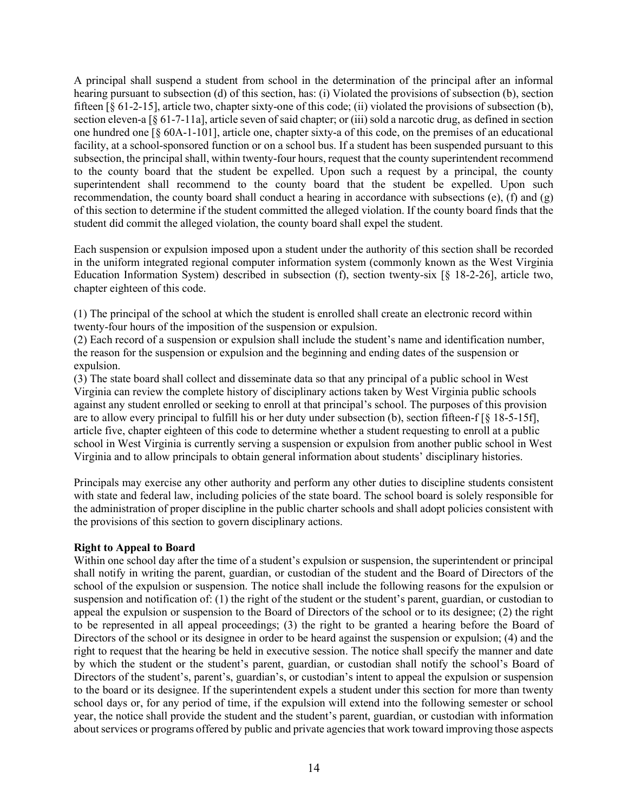A principal shall suspend a student from school in the determination of the principal after an informal hearing pursuant to subsection (d) of this section, has: (i) Violated the provisions of subsection (b), section fifteen [§ 61-2-15], article two, chapter sixty-one of this code; (ii) violated the provisions of subsection (b), section eleven-a [§ 61-7-11a], article seven of said chapter; or (iii) sold a narcotic drug, as defined in section one hundred one [§ 60A-1-101], article one, chapter sixty-a of this code, on the premises of an educational facility, at a school-sponsored function or on a school bus. If a student has been suspended pursuant to this subsection, the principal shall, within twenty-four hours, request that the county superintendent recommend to the county board that the student be expelled. Upon such a request by a principal, the county superintendent shall recommend to the county board that the student be expelled. Upon such recommendation, the county board shall conduct a hearing in accordance with subsections (e), (f) and (g) of this section to determine if the student committed the alleged violation. If the county board finds that the student did commit the alleged violation, the county board shall expel the student.

Each suspension or expulsion imposed upon a student under the authority of this section shall be recorded in the uniform integrated regional computer information system (commonly known as the West Virginia Education Information System) described in subsection (f), section twenty-six [§ 18-2-26], article two, chapter eighteen of this code.

(1) The principal of the school at which the student is enrolled shall create an electronic record within twenty-four hours of the imposition of the suspension or expulsion.

(2) Each record of a suspension or expulsion shall include the student's name and identification number, the reason for the suspension or expulsion and the beginning and ending dates of the suspension or expulsion.

(3) The state board shall collect and disseminate data so that any principal of a public school in West Virginia can review the complete history of disciplinary actions taken by West Virginia public schools against any student enrolled or seeking to enroll at that principal's school. The purposes of this provision are to allow every principal to fulfill his or her duty under subsection (b), section fifteen-f [§ 18-5-15f], article five, chapter eighteen of this code to determine whether a student requesting to enroll at a public school in West Virginia is currently serving a suspension or expulsion from another public school in West Virginia and to allow principals to obtain general information about students' disciplinary histories.

Principals may exercise any other authority and perform any other duties to discipline students consistent with state and federal law, including policies of the state board. The school board is solely responsible for the administration of proper discipline in the public charter schools and shall adopt policies consistent with the provisions of this section to govern disciplinary actions.

# Right to Appeal to Board

Within one school day after the time of a student's expulsion or suspension, the superintendent or principal shall notify in writing the parent, guardian, or custodian of the student and the Board of Directors of the school of the expulsion or suspension. The notice shall include the following reasons for the expulsion or suspension and notification of: (1) the right of the student or the student's parent, guardian, or custodian to appeal the expulsion or suspension to the Board of Directors of the school or to its designee; (2) the right to be represented in all appeal proceedings; (3) the right to be granted a hearing before the Board of Directors of the school or its designee in order to be heard against the suspension or expulsion; (4) and the right to request that the hearing be held in executive session. The notice shall specify the manner and date by which the student or the student's parent, guardian, or custodian shall notify the school's Board of Directors of the student's, parent's, guardian's, or custodian's intent to appeal the expulsion or suspension to the board or its designee. If the superintendent expels a student under this section for more than twenty school days or, for any period of time, if the expulsion will extend into the following semester or school year, the notice shall provide the student and the student's parent, guardian, or custodian with information about services or programs offered by public and private agencies that work toward improving those aspects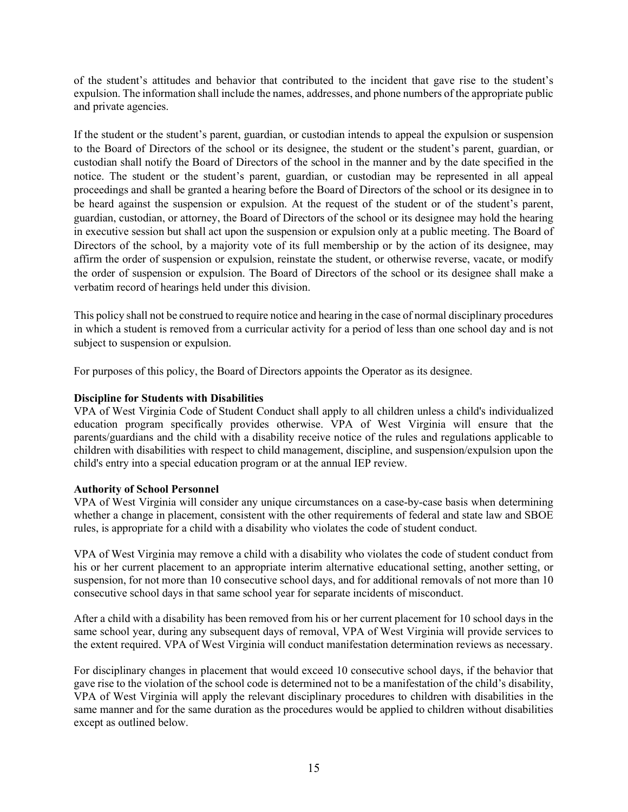of the student's attitudes and behavior that contributed to the incident that gave rise to the student's expulsion. The information shall include the names, addresses, and phone numbers of the appropriate public and private agencies.

If the student or the student's parent, guardian, or custodian intends to appeal the expulsion or suspension to the Board of Directors of the school or its designee, the student or the student's parent, guardian, or custodian shall notify the Board of Directors of the school in the manner and by the date specified in the notice. The student or the student's parent, guardian, or custodian may be represented in all appeal proceedings and shall be granted a hearing before the Board of Directors of the school or its designee in to be heard against the suspension or expulsion. At the request of the student or of the student's parent, guardian, custodian, or attorney, the Board of Directors of the school or its designee may hold the hearing in executive session but shall act upon the suspension or expulsion only at a public meeting. The Board of Directors of the school, by a majority vote of its full membership or by the action of its designee, may affirm the order of suspension or expulsion, reinstate the student, or otherwise reverse, vacate, or modify the order of suspension or expulsion. The Board of Directors of the school or its designee shall make a verbatim record of hearings held under this division.

This policy shall not be construed to require notice and hearing in the case of normal disciplinary procedures in which a student is removed from a curricular activity for a period of less than one school day and is not subject to suspension or expulsion.

For purposes of this policy, the Board of Directors appoints the Operator as its designee.

# Discipline for Students with Disabilities

VPA of West Virginia Code of Student Conduct shall apply to all children unless a child's individualized education program specifically provides otherwise. VPA of West Virginia will ensure that the parents/guardians and the child with a disability receive notice of the rules and regulations applicable to children with disabilities with respect to child management, discipline, and suspension/expulsion upon the child's entry into a special education program or at the annual IEP review.

# Authority of School Personnel

VPA of West Virginia will consider any unique circumstances on a case-by-case basis when determining whether a change in placement, consistent with the other requirements of federal and state law and SBOE rules, is appropriate for a child with a disability who violates the code of student conduct.

VPA of West Virginia may remove a child with a disability who violates the code of student conduct from his or her current placement to an appropriate interim alternative educational setting, another setting, or suspension, for not more than 10 consecutive school days, and for additional removals of not more than 10 consecutive school days in that same school year for separate incidents of misconduct.

After a child with a disability has been removed from his or her current placement for 10 school days in the same school year, during any subsequent days of removal, VPA of West Virginia will provide services to the extent required. VPA of West Virginia will conduct manifestation determination reviews as necessary.

For disciplinary changes in placement that would exceed 10 consecutive school days, if the behavior that gave rise to the violation of the school code is determined not to be a manifestation of the child's disability, VPA of West Virginia will apply the relevant disciplinary procedures to children with disabilities in the same manner and for the same duration as the procedures would be applied to children without disabilities except as outlined below.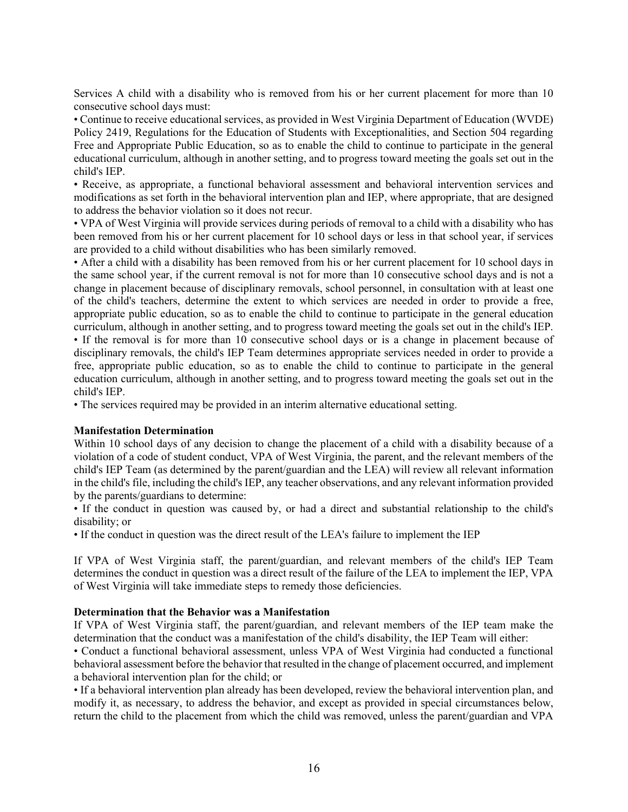Services A child with a disability who is removed from his or her current placement for more than 10 consecutive school days must:

• Continue to receive educational services, as provided in West Virginia Department of Education (WVDE) Policy 2419, Regulations for the Education of Students with Exceptionalities, and Section 504 regarding Free and Appropriate Public Education, so as to enable the child to continue to participate in the general educational curriculum, although in another setting, and to progress toward meeting the goals set out in the child's IEP.

• Receive, as appropriate, a functional behavioral assessment and behavioral intervention services and modifications as set forth in the behavioral intervention plan and IEP, where appropriate, that are designed to address the behavior violation so it does not recur.

• VPA of West Virginia will provide services during periods of removal to a child with a disability who has been removed from his or her current placement for 10 school days or less in that school year, if services are provided to a child without disabilities who has been similarly removed.

• After a child with a disability has been removed from his or her current placement for 10 school days in the same school year, if the current removal is not for more than 10 consecutive school days and is not a change in placement because of disciplinary removals, school personnel, in consultation with at least one of the child's teachers, determine the extent to which services are needed in order to provide a free, appropriate public education, so as to enable the child to continue to participate in the general education curriculum, although in another setting, and to progress toward meeting the goals set out in the child's IEP. • If the removal is for more than 10 consecutive school days or is a change in placement because of disciplinary removals, the child's IEP Team determines appropriate services needed in order to provide a free, appropriate public education, so as to enable the child to continue to participate in the general education curriculum, although in another setting, and to progress toward meeting the goals set out in the child's IEP.

• The services required may be provided in an interim alternative educational setting.

# Manifestation Determination

Within 10 school days of any decision to change the placement of a child with a disability because of a violation of a code of student conduct, VPA of West Virginia, the parent, and the relevant members of the child's IEP Team (as determined by the parent/guardian and the LEA) will review all relevant information in the child's file, including the child's IEP, any teacher observations, and any relevant information provided by the parents/guardians to determine:

• If the conduct in question was caused by, or had a direct and substantial relationship to the child's disability; or

• If the conduct in question was the direct result of the LEA's failure to implement the IEP

If VPA of West Virginia staff, the parent/guardian, and relevant members of the child's IEP Team determines the conduct in question was a direct result of the failure of the LEA to implement the IEP, VPA of West Virginia will take immediate steps to remedy those deficiencies.

#### Determination that the Behavior was a Manifestation

If VPA of West Virginia staff, the parent/guardian, and relevant members of the IEP team make the determination that the conduct was a manifestation of the child's disability, the IEP Team will either:

• Conduct a functional behavioral assessment, unless VPA of West Virginia had conducted a functional behavioral assessment before the behavior that resulted in the change of placement occurred, and implement a behavioral intervention plan for the child; or

• If a behavioral intervention plan already has been developed, review the behavioral intervention plan, and modify it, as necessary, to address the behavior, and except as provided in special circumstances below, return the child to the placement from which the child was removed, unless the parent/guardian and VPA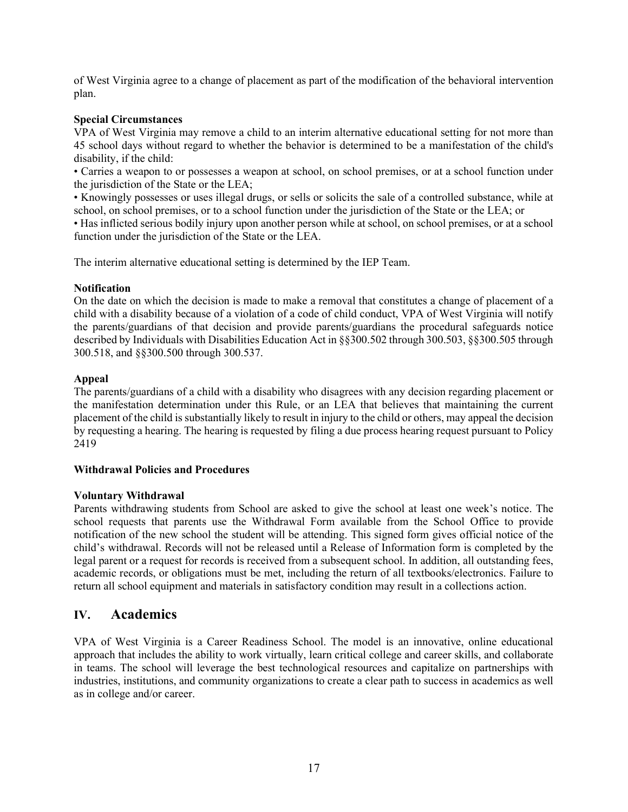of West Virginia agree to a change of placement as part of the modification of the behavioral intervention plan.

# Special Circumstances

VPA of West Virginia may remove a child to an interim alternative educational setting for not more than 45 school days without regard to whether the behavior is determined to be a manifestation of the child's disability, if the child:

• Carries a weapon to or possesses a weapon at school, on school premises, or at a school function under the jurisdiction of the State or the LEA;

• Knowingly possesses or uses illegal drugs, or sells or solicits the sale of a controlled substance, while at school, on school premises, or to a school function under the jurisdiction of the State or the LEA; or

• Has inflicted serious bodily injury upon another person while at school, on school premises, or at a school function under the jurisdiction of the State or the LEA.

The interim alternative educational setting is determined by the IEP Team.

# Notification

On the date on which the decision is made to make a removal that constitutes a change of placement of a child with a disability because of a violation of a code of child conduct, VPA of West Virginia will notify the parents/guardians of that decision and provide parents/guardians the procedural safeguards notice described by Individuals with Disabilities Education Act in §§300.502 through 300.503, §§300.505 through 300.518, and §§300.500 through 300.537.

# Appeal

The parents/guardians of a child with a disability who disagrees with any decision regarding placement or the manifestation determination under this Rule, or an LEA that believes that maintaining the current placement of the child is substantially likely to result in injury to the child or others, may appeal the decision by requesting a hearing. The hearing is requested by filing a due process hearing request pursuant to Policy 2419

# Withdrawal Policies and Procedures

# Voluntary Withdrawal

Parents withdrawing students from School are asked to give the school at least one week's notice. The school requests that parents use the Withdrawal Form available from the School Office to provide notification of the new school the student will be attending. This signed form gives official notice of the child's withdrawal. Records will not be released until a Release of Information form is completed by the legal parent or a request for records is received from a subsequent school. In addition, all outstanding fees, academic records, or obligations must be met, including the return of all textbooks/electronics. Failure to return all school equipment and materials in satisfactory condition may result in a collections action.

# IV. Academics

VPA of West Virginia is a Career Readiness School. The model is an innovative, online educational approach that includes the ability to work virtually, learn critical college and career skills, and collaborate in teams. The school will leverage the best technological resources and capitalize on partnerships with industries, institutions, and community organizations to create a clear path to success in academics as well as in college and/or career.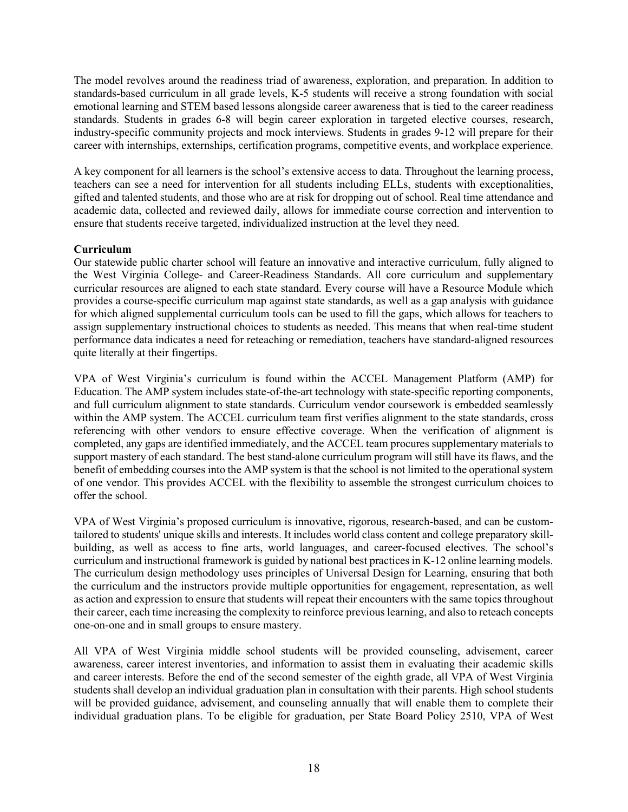The model revolves around the readiness triad of awareness, exploration, and preparation. In addition to standards-based curriculum in all grade levels, K-5 students will receive a strong foundation with social emotional learning and STEM based lessons alongside career awareness that is tied to the career readiness standards. Students in grades 6-8 will begin career exploration in targeted elective courses, research, industry-specific community projects and mock interviews. Students in grades 9-12 will prepare for their career with internships, externships, certification programs, competitive events, and workplace experience.

A key component for all learners is the school's extensive access to data. Throughout the learning process, teachers can see a need for intervention for all students including ELLs, students with exceptionalities, gifted and talented students, and those who are at risk for dropping out of school. Real time attendance and academic data, collected and reviewed daily, allows for immediate course correction and intervention to ensure that students receive targeted, individualized instruction at the level they need.

# Curriculum

Our statewide public charter school will feature an innovative and interactive curriculum, fully aligned to the West Virginia College- and Career-Readiness Standards. All core curriculum and supplementary curricular resources are aligned to each state standard. Every course will have a Resource Module which provides a course-specific curriculum map against state standards, as well as a gap analysis with guidance for which aligned supplemental curriculum tools can be used to fill the gaps, which allows for teachers to assign supplementary instructional choices to students as needed. This means that when real-time student performance data indicates a need for reteaching or remediation, teachers have standard-aligned resources quite literally at their fingertips.

VPA of West Virginia's curriculum is found within the ACCEL Management Platform (AMP) for Education. The AMP system includes state-of-the-art technology with state-specific reporting components, and full curriculum alignment to state standards. Curriculum vendor coursework is embedded seamlessly within the AMP system. The ACCEL curriculum team first verifies alignment to the state standards, cross referencing with other vendors to ensure effective coverage. When the verification of alignment is completed, any gaps are identified immediately, and the ACCEL team procures supplementary materials to support mastery of each standard. The best stand-alone curriculum program will still have its flaws, and the benefit of embedding courses into the AMP system is that the school is not limited to the operational system of one vendor. This provides ACCEL with the flexibility to assemble the strongest curriculum choices to offer the school.

VPA of West Virginia's proposed curriculum is innovative, rigorous, research-based, and can be customtailored to students' unique skills and interests. It includes world class content and college preparatory skillbuilding, as well as access to fine arts, world languages, and career-focused electives. The school's curriculum and instructional framework is guided by national best practices in K-12 online learning models. The curriculum design methodology uses principles of Universal Design for Learning, ensuring that both the curriculum and the instructors provide multiple opportunities for engagement, representation, as well as action and expression to ensure that students will repeat their encounters with the same topics throughout their career, each time increasing the complexity to reinforce previous learning, and also to reteach concepts one-on-one and in small groups to ensure mastery.

All VPA of West Virginia middle school students will be provided counseling, advisement, career awareness, career interest inventories, and information to assist them in evaluating their academic skills and career interests. Before the end of the second semester of the eighth grade, all VPA of West Virginia students shall develop an individual graduation plan in consultation with their parents. High school students will be provided guidance, advisement, and counseling annually that will enable them to complete their individual graduation plans. To be eligible for graduation, per State Board Policy 2510, VPA of West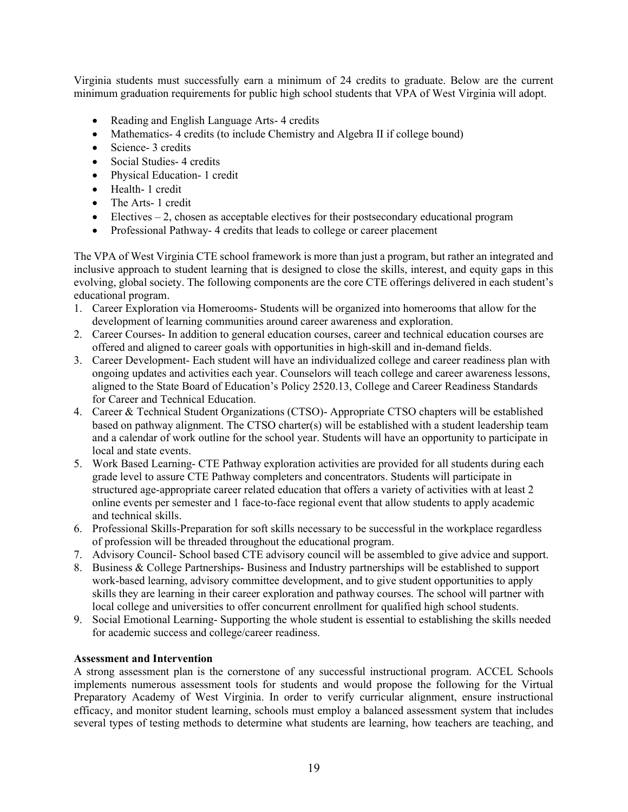Virginia students must successfully earn a minimum of 24 credits to graduate. Below are the current minimum graduation requirements for public high school students that VPA of West Virginia will adopt.

- Reading and English Language Arts-4 credits
- Mathematics- 4 credits (to include Chemistry and Algebra II if college bound)
- Science- 3 credits
- Social Studies- 4 credits
- Physical Education- 1 credit
- Health- 1 credit
- The Arts- 1 credit
- Electives 2, chosen as acceptable electives for their postsecondary educational program
- Professional Pathway-4 credits that leads to college or career placement

The VPA of West Virginia CTE school framework is more than just a program, but rather an integrated and inclusive approach to student learning that is designed to close the skills, interest, and equity gaps in this evolving, global society. The following components are the core CTE offerings delivered in each student's educational program.

- 1. Career Exploration via Homerooms- Students will be organized into homerooms that allow for the development of learning communities around career awareness and exploration.
- 2. Career Courses- In addition to general education courses, career and technical education courses are offered and aligned to career goals with opportunities in high-skill and in-demand fields.
- 3. Career Development- Each student will have an individualized college and career readiness plan with ongoing updates and activities each year. Counselors will teach college and career awareness lessons, aligned to the State Board of Education's Policy 2520.13, College and Career Readiness Standards for Career and Technical Education.
- 4. Career & Technical Student Organizations (CTSO)- Appropriate CTSO chapters will be established based on pathway alignment. The CTSO charter(s) will be established with a student leadership team and a calendar of work outline for the school year. Students will have an opportunity to participate in local and state events.
- 5. Work Based Learning- CTE Pathway exploration activities are provided for all students during each grade level to assure CTE Pathway completers and concentrators. Students will participate in structured age-appropriate career related education that offers a variety of activities with at least 2 online events per semester and 1 face-to-face regional event that allow students to apply academic and technical skills.
- 6. Professional Skills-Preparation for soft skills necessary to be successful in the workplace regardless of profession will be threaded throughout the educational program.
- 7. Advisory Council- School based CTE advisory council will be assembled to give advice and support.
- 8. Business & College Partnerships- Business and Industry partnerships will be established to support work-based learning, advisory committee development, and to give student opportunities to apply skills they are learning in their career exploration and pathway courses. The school will partner with local college and universities to offer concurrent enrollment for qualified high school students.
- 9. Social Emotional Learning- Supporting the whole student is essential to establishing the skills needed for academic success and college/career readiness.

# Assessment and Intervention

A strong assessment plan is the cornerstone of any successful instructional program. ACCEL Schools implements numerous assessment tools for students and would propose the following for the Virtual Preparatory Academy of West Virginia. In order to verify curricular alignment, ensure instructional efficacy, and monitor student learning, schools must employ a balanced assessment system that includes several types of testing methods to determine what students are learning, how teachers are teaching, and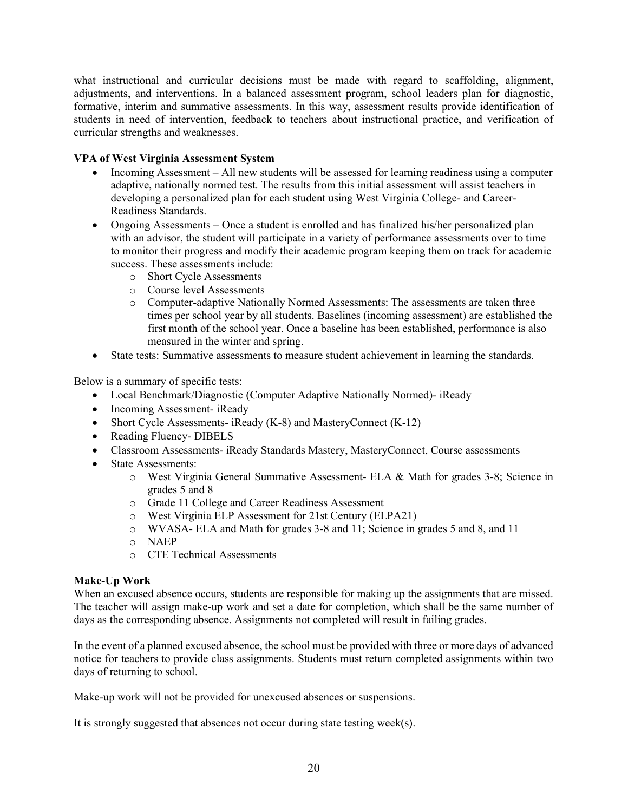what instructional and curricular decisions must be made with regard to scaffolding, alignment, adjustments, and interventions. In a balanced assessment program, school leaders plan for diagnostic, formative, interim and summative assessments. In this way, assessment results provide identification of students in need of intervention, feedback to teachers about instructional practice, and verification of curricular strengths and weaknesses.

# VPA of West Virginia Assessment System

- Incoming Assessment All new students will be assessed for learning readiness using a computer adaptive, nationally normed test. The results from this initial assessment will assist teachers in developing a personalized plan for each student using West Virginia College- and Career-Readiness Standards.
- Ongoing Assessments Once a student is enrolled and has finalized his/her personalized plan with an advisor, the student will participate in a variety of performance assessments over to time to monitor their progress and modify their academic program keeping them on track for academic success. These assessments include:
	- o Short Cycle Assessments
	- o Course level Assessments
	- o Computer-adaptive Nationally Normed Assessments: The assessments are taken three times per school year by all students. Baselines (incoming assessment) are established the first month of the school year. Once a baseline has been established, performance is also measured in the winter and spring.
- State tests: Summative assessments to measure student achievement in learning the standards.

Below is a summary of specific tests:

- Local Benchmark/Diagnostic (Computer Adaptive Nationally Normed)- iReady
- Incoming Assessment- iReady
- Short Cycle Assessments- iReady (K-8) and MasteryConnect (K-12)
- Reading Fluency- DIBELS
- Classroom Assessments- iReady Standards Mastery, MasteryConnect, Course assessments
- State Assessments:
	- o West Virginia General Summative Assessment- ELA & Math for grades 3-8; Science in grades 5 and 8
	- o Grade 11 College and Career Readiness Assessment
	- o West Virginia ELP Assessment for 21st Century (ELPA21)
	- o WVASA- ELA and Math for grades 3-8 and 11; Science in grades 5 and 8, and 11
	- o NAEP
	- o CTE Technical Assessments

# Make-Up Work

When an excused absence occurs, students are responsible for making up the assignments that are missed. The teacher will assign make-up work and set a date for completion, which shall be the same number of days as the corresponding absence. Assignments not completed will result in failing grades.

In the event of a planned excused absence, the school must be provided with three or more days of advanced notice for teachers to provide class assignments. Students must return completed assignments within two days of returning to school.

Make-up work will not be provided for unexcused absences or suspensions.

It is strongly suggested that absences not occur during state testing week(s).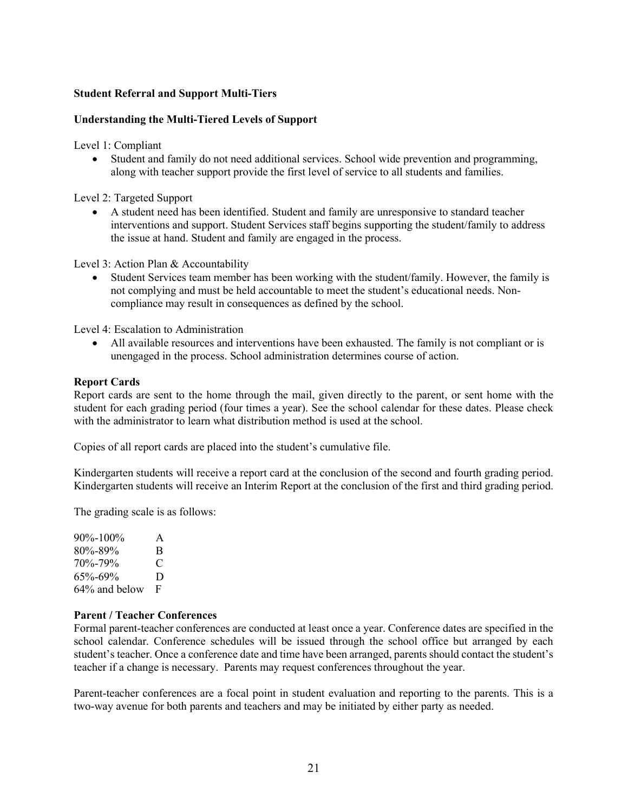# Student Referral and Support Multi-Tiers

# Understanding the Multi-Tiered Levels of Support

Level 1: Compliant

 Student and family do not need additional services. School wide prevention and programming, along with teacher support provide the first level of service to all students and families.

Level 2: Targeted Support

 A student need has been identified. Student and family are unresponsive to standard teacher interventions and support. Student Services staff begins supporting the student/family to address the issue at hand. Student and family are engaged in the process.

Level 3: Action Plan & Accountability

 Student Services team member has been working with the student/family. However, the family is not complying and must be held accountable to meet the student's educational needs. Noncompliance may result in consequences as defined by the school.

Level 4: Escalation to Administration

 All available resources and interventions have been exhausted. The family is not compliant or is unengaged in the process. School administration determines course of action.

#### Report Cards

Report cards are sent to the home through the mail, given directly to the parent, or sent home with the student for each grading period (four times a year). See the school calendar for these dates. Please check with the administrator to learn what distribution method is used at the school.

Copies of all report cards are placed into the student's cumulative file.

Kindergarten students will receive a report card at the conclusion of the second and fourth grading period. Kindergarten students will receive an Interim Report at the conclusion of the first and third grading period.

The grading scale is as follows:

90%-100% A 80%-89% B 70%-79% C 65%-69% D 64% and below F

#### Parent / Teacher Conferences

Formal parent-teacher conferences are conducted at least once a year. Conference dates are specified in the school calendar. Conference schedules will be issued through the school office but arranged by each student's teacher. Once a conference date and time have been arranged, parents should contact the student's teacher if a change is necessary. Parents may request conferences throughout the year.

Parent-teacher conferences are a focal point in student evaluation and reporting to the parents. This is a two-way avenue for both parents and teachers and may be initiated by either party as needed.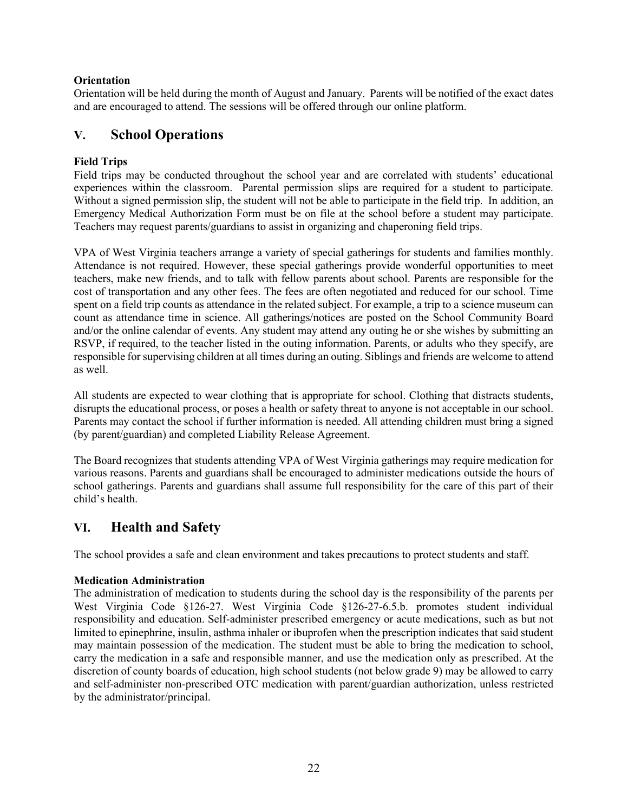# **Orientation**

Orientation will be held during the month of August and January. Parents will be notified of the exact dates and are encouraged to attend. The sessions will be offered through our online platform.

# V. School Operations

# Field Trips

Field trips may be conducted throughout the school year and are correlated with students' educational experiences within the classroom. Parental permission slips are required for a student to participate. Without a signed permission slip, the student will not be able to participate in the field trip. In addition, an Emergency Medical Authorization Form must be on file at the school before a student may participate. Teachers may request parents/guardians to assist in organizing and chaperoning field trips.

VPA of West Virginia teachers arrange a variety of special gatherings for students and families monthly. Attendance is not required. However, these special gatherings provide wonderful opportunities to meet teachers, make new friends, and to talk with fellow parents about school. Parents are responsible for the cost of transportation and any other fees. The fees are often negotiated and reduced for our school. Time spent on a field trip counts as attendance in the related subject. For example, a trip to a science museum can count as attendance time in science. All gatherings/notices are posted on the School Community Board and/or the online calendar of events. Any student may attend any outing he or she wishes by submitting an RSVP, if required, to the teacher listed in the outing information. Parents, or adults who they specify, are responsible for supervising children at all times during an outing. Siblings and friends are welcome to attend as well.

All students are expected to wear clothing that is appropriate for school. Clothing that distracts students, disrupts the educational process, or poses a health or safety threat to anyone is not acceptable in our school. Parents may contact the school if further information is needed. All attending children must bring a signed (by parent/guardian) and completed Liability Release Agreement.

The Board recognizes that students attending VPA of West Virginia gatherings may require medication for various reasons. Parents and guardians shall be encouraged to administer medications outside the hours of school gatherings. Parents and guardians shall assume full responsibility for the care of this part of their child's health.

# VI. Health and Safety

The school provides a safe and clean environment and takes precautions to protect students and staff.

# Medication Administration

The administration of medication to students during the school day is the responsibility of the parents per West Virginia Code §126-27. West Virginia Code §126-27-6.5.b. promotes student individual responsibility and education. Self-administer prescribed emergency or acute medications, such as but not limited to epinephrine, insulin, asthma inhaler or ibuprofen when the prescription indicates that said student may maintain possession of the medication. The student must be able to bring the medication to school, carry the medication in a safe and responsible manner, and use the medication only as prescribed. At the discretion of county boards of education, high school students (not below grade 9) may be allowed to carry and self-administer non-prescribed OTC medication with parent/guardian authorization, unless restricted by the administrator/principal.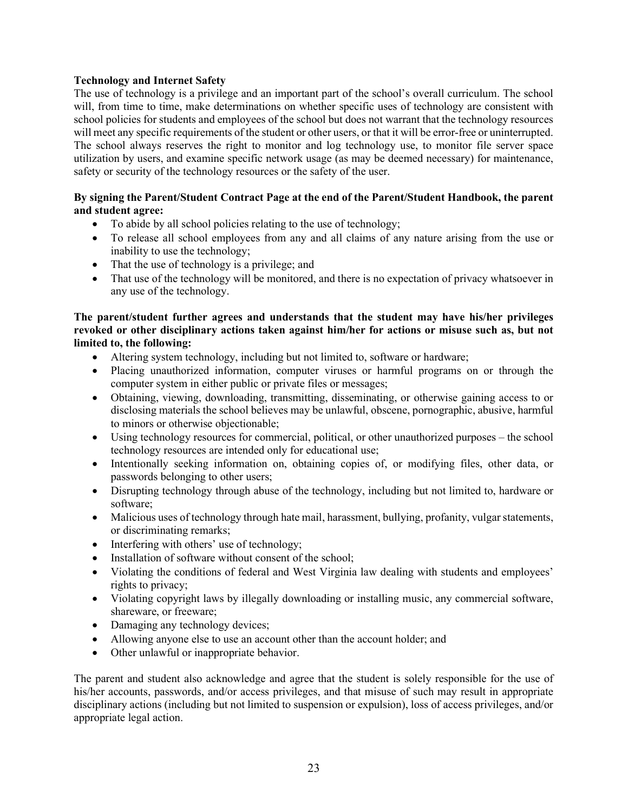# Technology and Internet Safety

The use of technology is a privilege and an important part of the school's overall curriculum. The school will, from time to time, make determinations on whether specific uses of technology are consistent with school policies for students and employees of the school but does not warrant that the technology resources will meet any specific requirements of the student or other users, or that it will be error-free or uninterrupted. The school always reserves the right to monitor and log technology use, to monitor file server space utilization by users, and examine specific network usage (as may be deemed necessary) for maintenance, safety or security of the technology resources or the safety of the user.

# By signing the Parent/Student Contract Page at the end of the Parent/Student Handbook, the parent and student agree:

- To abide by all school policies relating to the use of technology;
- To release all school employees from any and all claims of any nature arising from the use or inability to use the technology;
- That the use of technology is a privilege; and
- That use of the technology will be monitored, and there is no expectation of privacy whatsoever in any use of the technology.

# The parent/student further agrees and understands that the student may have his/her privileges revoked or other disciplinary actions taken against him/her for actions or misuse such as, but not limited to, the following:

- Altering system technology, including but not limited to, software or hardware;
- Placing unauthorized information, computer viruses or harmful programs on or through the computer system in either public or private files or messages;
- Obtaining, viewing, downloading, transmitting, disseminating, or otherwise gaining access to or disclosing materials the school believes may be unlawful, obscene, pornographic, abusive, harmful to minors or otherwise objectionable;
- Using technology resources for commercial, political, or other unauthorized purposes the school technology resources are intended only for educational use;
- Intentionally seeking information on, obtaining copies of, or modifying files, other data, or passwords belonging to other users;
- Disrupting technology through abuse of the technology, including but not limited to, hardware or software;
- Malicious uses of technology through hate mail, harassment, bullying, profanity, vulgar statements, or discriminating remarks;
- Interfering with others' use of technology;
- Installation of software without consent of the school;
- Violating the conditions of federal and West Virginia law dealing with students and employees' rights to privacy;
- Violating copyright laws by illegally downloading or installing music, any commercial software, shareware, or freeware;
- Damaging any technology devices;
- Allowing anyone else to use an account other than the account holder; and
- Other unlawful or inappropriate behavior.

The parent and student also acknowledge and agree that the student is solely responsible for the use of his/her accounts, passwords, and/or access privileges, and that misuse of such may result in appropriate disciplinary actions (including but not limited to suspension or expulsion), loss of access privileges, and/or appropriate legal action.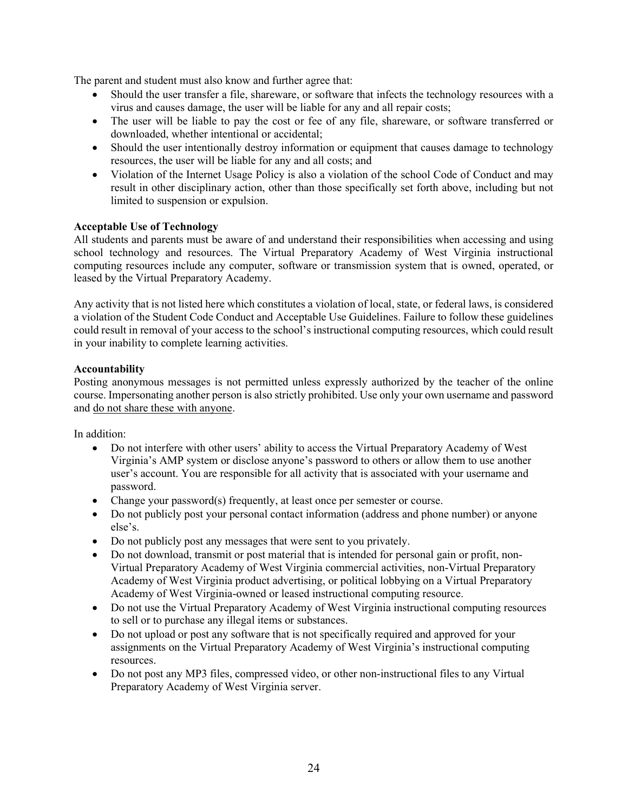The parent and student must also know and further agree that:

- Should the user transfer a file, shareware, or software that infects the technology resources with a virus and causes damage, the user will be liable for any and all repair costs;
- The user will be liable to pay the cost or fee of any file, shareware, or software transferred or downloaded, whether intentional or accidental;
- Should the user intentionally destroy information or equipment that causes damage to technology resources, the user will be liable for any and all costs; and
- Violation of the Internet Usage Policy is also a violation of the school Code of Conduct and may result in other disciplinary action, other than those specifically set forth above, including but not limited to suspension or expulsion.

# Acceptable Use of Technology

All students and parents must be aware of and understand their responsibilities when accessing and using school technology and resources. The Virtual Preparatory Academy of West Virginia instructional computing resources include any computer, software or transmission system that is owned, operated, or leased by the Virtual Preparatory Academy.

Any activity that is not listed here which constitutes a violation of local, state, or federal laws, is considered a violation of the Student Code Conduct and Acceptable Use Guidelines. Failure to follow these guidelines could result in removal of your access to the school's instructional computing resources, which could result in your inability to complete learning activities.

# Accountability

Posting anonymous messages is not permitted unless expressly authorized by the teacher of the online course. Impersonating another person is also strictly prohibited. Use only your own username and password and do not share these with anyone.

In addition:

- Do not interfere with other users' ability to access the Virtual Preparatory Academy of West Virginia's AMP system or disclose anyone's password to others or allow them to use another user's account. You are responsible for all activity that is associated with your username and password.
- Change your password(s) frequently, at least once per semester or course.
- Do not publicly post your personal contact information (address and phone number) or anyone else's.
- Do not publicly post any messages that were sent to you privately.
- Do not download, transmit or post material that is intended for personal gain or profit, non-Virtual Preparatory Academy of West Virginia commercial activities, non-Virtual Preparatory Academy of West Virginia product advertising, or political lobbying on a Virtual Preparatory Academy of West Virginia-owned or leased instructional computing resource.
- Do not use the Virtual Preparatory Academy of West Virginia instructional computing resources to sell or to purchase any illegal items or substances.
- Do not upload or post any software that is not specifically required and approved for your assignments on the Virtual Preparatory Academy of West Virginia's instructional computing resources.
- Do not post any MP3 files, compressed video, or other non-instructional files to any Virtual Preparatory Academy of West Virginia server.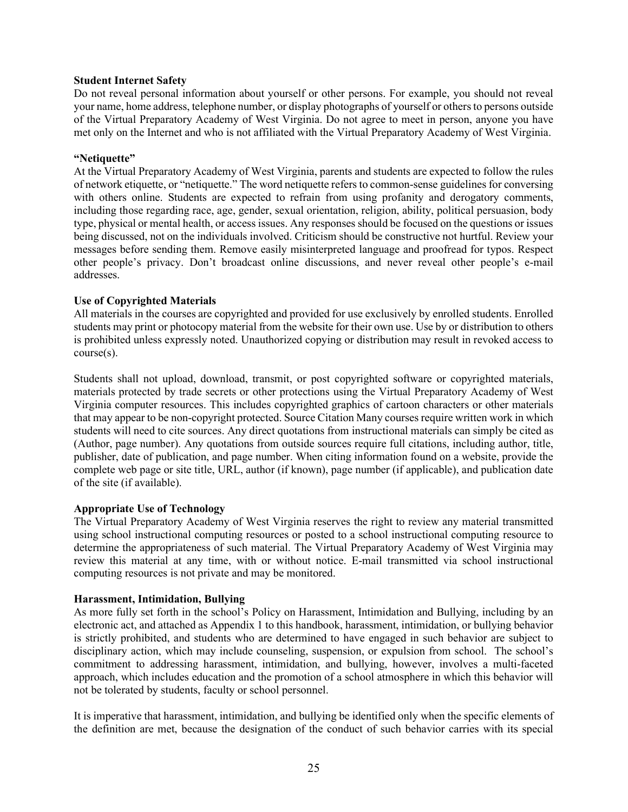#### Student Internet Safety

Do not reveal personal information about yourself or other persons. For example, you should not reveal your name, home address, telephone number, or display photographs of yourself or others to persons outside of the Virtual Preparatory Academy of West Virginia. Do not agree to meet in person, anyone you have met only on the Internet and who is not affiliated with the Virtual Preparatory Academy of West Virginia.

#### "Netiquette"

At the Virtual Preparatory Academy of West Virginia, parents and students are expected to follow the rules of network etiquette, or "netiquette." The word netiquette refers to common-sense guidelines for conversing with others online. Students are expected to refrain from using profanity and derogatory comments, including those regarding race, age, gender, sexual orientation, religion, ability, political persuasion, body type, physical or mental health, or access issues. Any responses should be focused on the questions or issues being discussed, not on the individuals involved. Criticism should be constructive not hurtful. Review your messages before sending them. Remove easily misinterpreted language and proofread for typos. Respect other people's privacy. Don't broadcast online discussions, and never reveal other people's e-mail addresses.

# Use of Copyrighted Materials

All materials in the courses are copyrighted and provided for use exclusively by enrolled students. Enrolled students may print or photocopy material from the website for their own use. Use by or distribution to others is prohibited unless expressly noted. Unauthorized copying or distribution may result in revoked access to course(s).

Students shall not upload, download, transmit, or post copyrighted software or copyrighted materials, materials protected by trade secrets or other protections using the Virtual Preparatory Academy of West Virginia computer resources. This includes copyrighted graphics of cartoon characters or other materials that may appear to be non-copyright protected. Source Citation Many courses require written work in which students will need to cite sources. Any direct quotations from instructional materials can simply be cited as (Author, page number). Any quotations from outside sources require full citations, including author, title, publisher, date of publication, and page number. When citing information found on a website, provide the complete web page or site title, URL, author (if known), page number (if applicable), and publication date of the site (if available).

# Appropriate Use of Technology

The Virtual Preparatory Academy of West Virginia reserves the right to review any material transmitted using school instructional computing resources or posted to a school instructional computing resource to determine the appropriateness of such material. The Virtual Preparatory Academy of West Virginia may review this material at any time, with or without notice. E-mail transmitted via school instructional computing resources is not private and may be monitored.

# Harassment, Intimidation, Bullying

As more fully set forth in the school's Policy on Harassment, Intimidation and Bullying, including by an electronic act, and attached as Appendix 1 to this handbook, harassment, intimidation, or bullying behavior is strictly prohibited, and students who are determined to have engaged in such behavior are subject to disciplinary action, which may include counseling, suspension, or expulsion from school. The school's commitment to addressing harassment, intimidation, and bullying, however, involves a multi-faceted approach, which includes education and the promotion of a school atmosphere in which this behavior will not be tolerated by students, faculty or school personnel.

It is imperative that harassment, intimidation, and bullying be identified only when the specific elements of the definition are met, because the designation of the conduct of such behavior carries with its special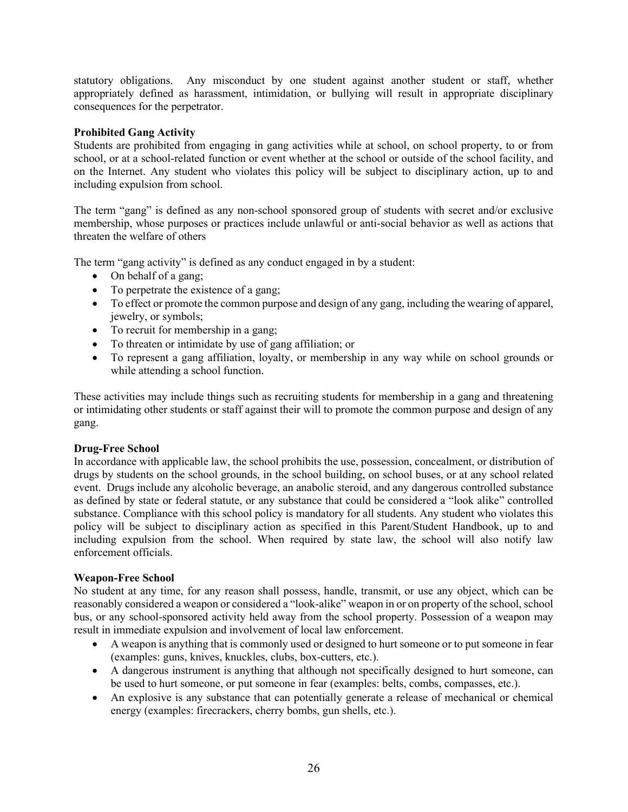statutory obligations. Any misconduct by one student against another student or staff, whether appropriately defined as harassment, intimidation, or bullying will result in appropriate disciplinary consequences for the perpetrator.

# Prohibited Gang Activity

Students are prohibited from engaging in gang activities while at school, on school property, to or from school, or at a school-related function or event whether at the school or outside of the school facility, and on the Internet. Any student who violates this policy will be subject to disciplinary action, up to and including expulsion from school.

The term "gang" is defined as any non-school sponsored group of students with secret and/or exclusive membership, whose purposes or practices include unlawful or anti-social behavior as well as actions that threaten the welfare of others

The term "gang activity" is defined as any conduct engaged in by a student:

- On behalf of a gang;
- To perpetrate the existence of a gang;
- To effect or promote the common purpose and design of any gang, including the wearing of apparel, jewelry, or symbols;
- To recruit for membership in a gang;
- To threaten or intimidate by use of gang affiliation; or
- To represent a gang affiliation, loyalty, or membership in any way while on school grounds or while attending a school function.

These activities may include things such as recruiting students for membership in a gang and threatening or intimidating other students or staff against their will to promote the common purpose and design of any gang.

# Drug-Free School

In accordance with applicable law, the school prohibits the use, possession, concealment, or distribution of drugs by students on the school grounds, in the school building, on school buses, or at any school related event. Drugs include any alcoholic beverage, an anabolic steroid, and any dangerous controlled substance as defined by state or federal statute, or any substance that could be considered a "look alike" controlled substance. Compliance with this school policy is mandatory for all students. Any student who violates this policy will be subject to disciplinary action as specified in this Parent/Student Handbook, up to and including expulsion from the school. When required by state law, the school will also notify law enforcement officials.

# Weapon-Free School

No student at any time, for any reason shall possess, handle, transmit, or use any object, which can be reasonably considered a weapon or considered a "look-alike" weapon in or on property of the school, school bus, or any school-sponsored activity held away from the school property. Possession of a weapon may result in immediate expulsion and involvement of local law enforcement.

- A weapon is anything that is commonly used or designed to hurt someone or to put someone in fear (examples: guns, knives, knuckles, clubs, box-cutters, etc.).
- A dangerous instrument is anything that although not specifically designed to hurt someone, can be used to hurt someone, or put someone in fear (examples: belts, combs, compasses, etc.).
- An explosive is any substance that can potentially generate a release of mechanical or chemical energy (examples: firecrackers, cherry bombs, gun shells, etc.).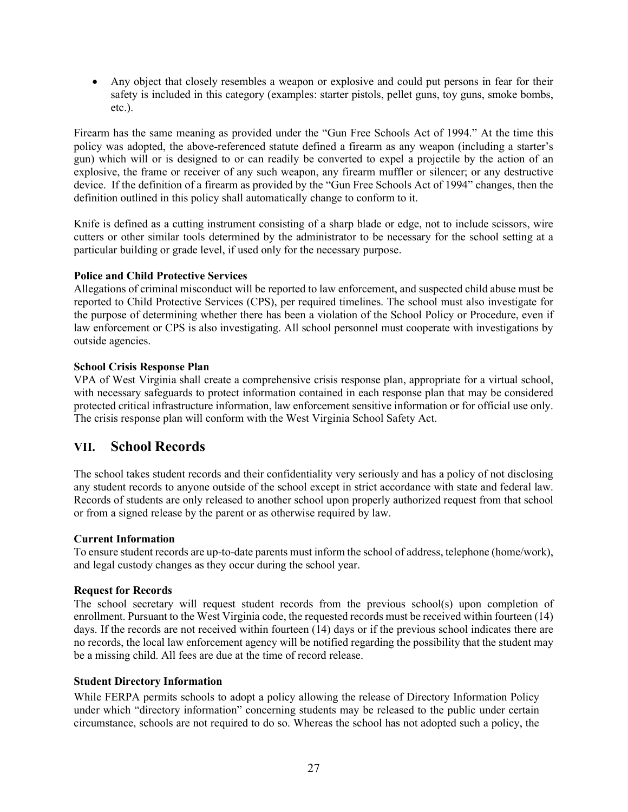Any object that closely resembles a weapon or explosive and could put persons in fear for their safety is included in this category (examples: starter pistols, pellet guns, toy guns, smoke bombs, etc.).

Firearm has the same meaning as provided under the "Gun Free Schools Act of 1994." At the time this policy was adopted, the above-referenced statute defined a firearm as any weapon (including a starter's gun) which will or is designed to or can readily be converted to expel a projectile by the action of an explosive, the frame or receiver of any such weapon, any firearm muffler or silencer; or any destructive device. If the definition of a firearm as provided by the "Gun Free Schools Act of 1994" changes, then the definition outlined in this policy shall automatically change to conform to it.

Knife is defined as a cutting instrument consisting of a sharp blade or edge, not to include scissors, wire cutters or other similar tools determined by the administrator to be necessary for the school setting at a particular building or grade level, if used only for the necessary purpose.

# Police and Child Protective Services

Allegations of criminal misconduct will be reported to law enforcement, and suspected child abuse must be reported to Child Protective Services (CPS), per required timelines. The school must also investigate for the purpose of determining whether there has been a violation of the School Policy or Procedure, even if law enforcement or CPS is also investigating. All school personnel must cooperate with investigations by outside agencies.

# School Crisis Response Plan

VPA of West Virginia shall create a comprehensive crisis response plan, appropriate for a virtual school, with necessary safeguards to protect information contained in each response plan that may be considered protected critical infrastructure information, law enforcement sensitive information or for official use only. The crisis response plan will conform with the West Virginia School Safety Act.

# VII. School Records

The school takes student records and their confidentiality very seriously and has a policy of not disclosing any student records to anyone outside of the school except in strict accordance with state and federal law. Records of students are only released to another school upon properly authorized request from that school or from a signed release by the parent or as otherwise required by law.

# Current Information

To ensure student records are up-to-date parents must inform the school of address, telephone (home/work), and legal custody changes as they occur during the school year.

# Request for Records

The school secretary will request student records from the previous school(s) upon completion of enrollment. Pursuant to the West Virginia code, the requested records must be received within fourteen (14) days. If the records are not received within fourteen (14) days or if the previous school indicates there are no records, the local law enforcement agency will be notified regarding the possibility that the student may be a missing child. All fees are due at the time of record release.

# Student Directory Information

While FERPA permits schools to adopt a policy allowing the release of Directory Information Policy under which "directory information" concerning students may be released to the public under certain circumstance, schools are not required to do so. Whereas the school has not adopted such a policy, the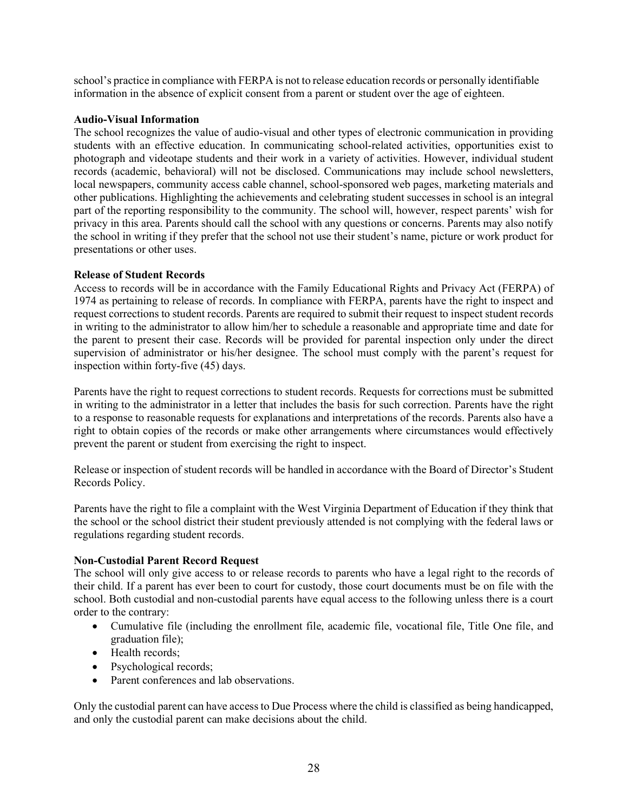school's practice in compliance with FERPA is not to release education records or personally identifiable information in the absence of explicit consent from a parent or student over the age of eighteen.

# Audio-Visual Information

The school recognizes the value of audio-visual and other types of electronic communication in providing students with an effective education. In communicating school-related activities, opportunities exist to photograph and videotape students and their work in a variety of activities. However, individual student records (academic, behavioral) will not be disclosed. Communications may include school newsletters, local newspapers, community access cable channel, school-sponsored web pages, marketing materials and other publications. Highlighting the achievements and celebrating student successes in school is an integral part of the reporting responsibility to the community. The school will, however, respect parents' wish for privacy in this area. Parents should call the school with any questions or concerns. Parents may also notify the school in writing if they prefer that the school not use their student's name, picture or work product for presentations or other uses.

# Release of Student Records

Access to records will be in accordance with the Family Educational Rights and Privacy Act (FERPA) of 1974 as pertaining to release of records. In compliance with FERPA, parents have the right to inspect and request corrections to student records. Parents are required to submit their request to inspect student records in writing to the administrator to allow him/her to schedule a reasonable and appropriate time and date for the parent to present their case. Records will be provided for parental inspection only under the direct supervision of administrator or his/her designee. The school must comply with the parent's request for inspection within forty-five (45) days.

Parents have the right to request corrections to student records. Requests for corrections must be submitted in writing to the administrator in a letter that includes the basis for such correction. Parents have the right to a response to reasonable requests for explanations and interpretations of the records. Parents also have a right to obtain copies of the records or make other arrangements where circumstances would effectively prevent the parent or student from exercising the right to inspect.

Release or inspection of student records will be handled in accordance with the Board of Director's Student Records Policy.

Parents have the right to file a complaint with the West Virginia Department of Education if they think that the school or the school district their student previously attended is not complying with the federal laws or regulations regarding student records.

# Non-Custodial Parent Record Request

The school will only give access to or release records to parents who have a legal right to the records of their child. If a parent has ever been to court for custody, those court documents must be on file with the school. Both custodial and non-custodial parents have equal access to the following unless there is a court order to the contrary:

- Cumulative file (including the enrollment file, academic file, vocational file, Title One file, and graduation file);
- Health records;
- Psychological records;
- Parent conferences and lab observations.

Only the custodial parent can have access to Due Process where the child is classified as being handicapped, and only the custodial parent can make decisions about the child.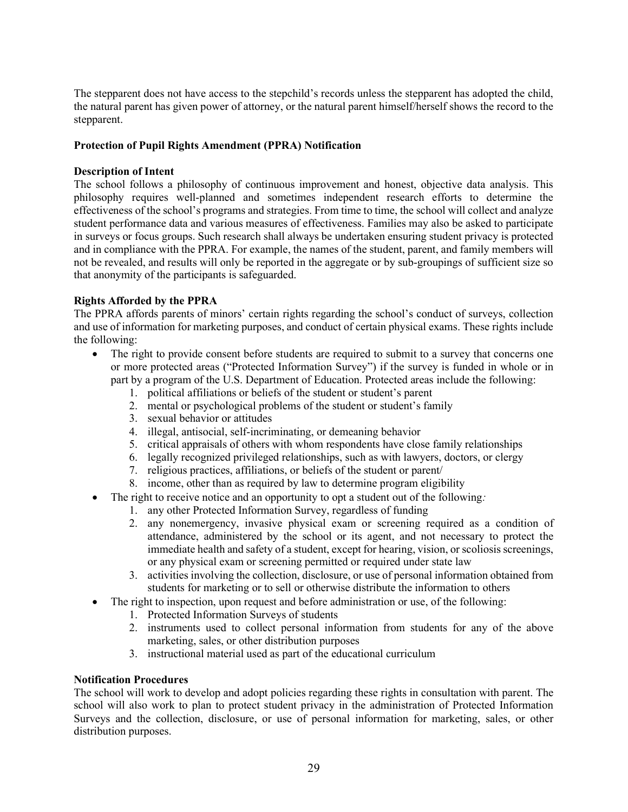The stepparent does not have access to the stepchild's records unless the stepparent has adopted the child, the natural parent has given power of attorney, or the natural parent himself/herself shows the record to the stepparent.

# Protection of Pupil Rights Amendment (PPRA) Notification

#### Description of Intent

The school follows a philosophy of continuous improvement and honest, objective data analysis. This philosophy requires well-planned and sometimes independent research efforts to determine the effectiveness of the school's programs and strategies. From time to time, the school will collect and analyze student performance data and various measures of effectiveness. Families may also be asked to participate in surveys or focus groups. Such research shall always be undertaken ensuring student privacy is protected and in compliance with the PPRA. For example, the names of the student, parent, and family members will not be revealed, and results will only be reported in the aggregate or by sub-groupings of sufficient size so that anonymity of the participants is safeguarded.

# Rights Afforded by the PPRA

The PPRA affords parents of minors' certain rights regarding the school's conduct of surveys, collection and use of information for marketing purposes, and conduct of certain physical exams. These rights include the following:

- The right to provide consent before students are required to submit to a survey that concerns one or more protected areas ("Protected Information Survey") if the survey is funded in whole or in part by a program of the U.S. Department of Education. Protected areas include the following:
	- 1. political affiliations or beliefs of the student or student's parent
	- 2. mental or psychological problems of the student or student's family
	- 3. sexual behavior or attitudes
	- 4. illegal, antisocial, self-incriminating, or demeaning behavior
	- 5. critical appraisals of others with whom respondents have close family relationships
	- 6. legally recognized privileged relationships, such as with lawyers, doctors, or clergy
	- 7. religious practices, affiliations, or beliefs of the student or parent/
	- 8. income, other than as required by law to determine program eligibility
- The right to receive notice and an opportunity to opt a student out of the following:
	- 1. any other Protected Information Survey, regardless of funding
	- 2. any nonemergency, invasive physical exam or screening required as a condition of attendance, administered by the school or its agent, and not necessary to protect the immediate health and safety of a student, except for hearing, vision, or scoliosis screenings, or any physical exam or screening permitted or required under state law
	- 3. activities involving the collection, disclosure, or use of personal information obtained from students for marketing or to sell or otherwise distribute the information to others
- The right to inspection, upon request and before administration or use, of the following:
	- 1. Protected Information Surveys of students
	- 2. instruments used to collect personal information from students for any of the above marketing, sales, or other distribution purposes
	- 3. instructional material used as part of the educational curriculum

# Notification Procedures

The school will work to develop and adopt policies regarding these rights in consultation with parent. The school will also work to plan to protect student privacy in the administration of Protected Information Surveys and the collection, disclosure, or use of personal information for marketing, sales, or other distribution purposes.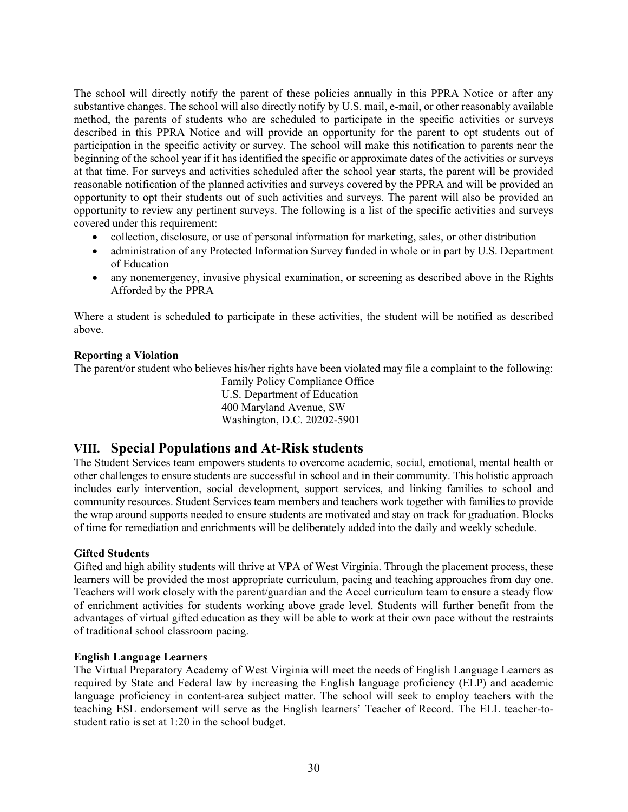The school will directly notify the parent of these policies annually in this PPRA Notice or after any substantive changes. The school will also directly notify by U.S. mail, e-mail, or other reasonably available method, the parents of students who are scheduled to participate in the specific activities or surveys described in this PPRA Notice and will provide an opportunity for the parent to opt students out of participation in the specific activity or survey. The school will make this notification to parents near the beginning of the school year if it has identified the specific or approximate dates of the activities or surveys at that time. For surveys and activities scheduled after the school year starts, the parent will be provided reasonable notification of the planned activities and surveys covered by the PPRA and will be provided an opportunity to opt their students out of such activities and surveys. The parent will also be provided an opportunity to review any pertinent surveys. The following is a list of the specific activities and surveys covered under this requirement:

- collection, disclosure, or use of personal information for marketing, sales, or other distribution
- administration of any Protected Information Survey funded in whole or in part by U.S. Department of Education
- any nonemergency, invasive physical examination, or screening as described above in the Rights Afforded by the PPRA

Where a student is scheduled to participate in these activities, the student will be notified as described above.

# Reporting a Violation

The parent/or student who believes his/her rights have been violated may file a complaint to the following:

Family Policy Compliance Office U.S. Department of Education 400 Maryland Avenue, SW Washington, D.C. 20202-5901

# VIII. Special Populations and At-Risk students

The Student Services team empowers students to overcome academic, social, emotional, mental health or other challenges to ensure students are successful in school and in their community. This holistic approach includes early intervention, social development, support services, and linking families to school and community resources. Student Services team members and teachers work together with families to provide the wrap around supports needed to ensure students are motivated and stay on track for graduation. Blocks of time for remediation and enrichments will be deliberately added into the daily and weekly schedule.

# Gifted Students

Gifted and high ability students will thrive at VPA of West Virginia. Through the placement process, these learners will be provided the most appropriate curriculum, pacing and teaching approaches from day one. Teachers will work closely with the parent/guardian and the Accel curriculum team to ensure a steady flow of enrichment activities for students working above grade level. Students will further benefit from the advantages of virtual gifted education as they will be able to work at their own pace without the restraints of traditional school classroom pacing.

# English Language Learners

The Virtual Preparatory Academy of West Virginia will meet the needs of English Language Learners as required by State and Federal law by increasing the English language proficiency (ELP) and academic language proficiency in content-area subject matter. The school will seek to employ teachers with the teaching ESL endorsement will serve as the English learners' Teacher of Record. The ELL teacher-tostudent ratio is set at 1:20 in the school budget.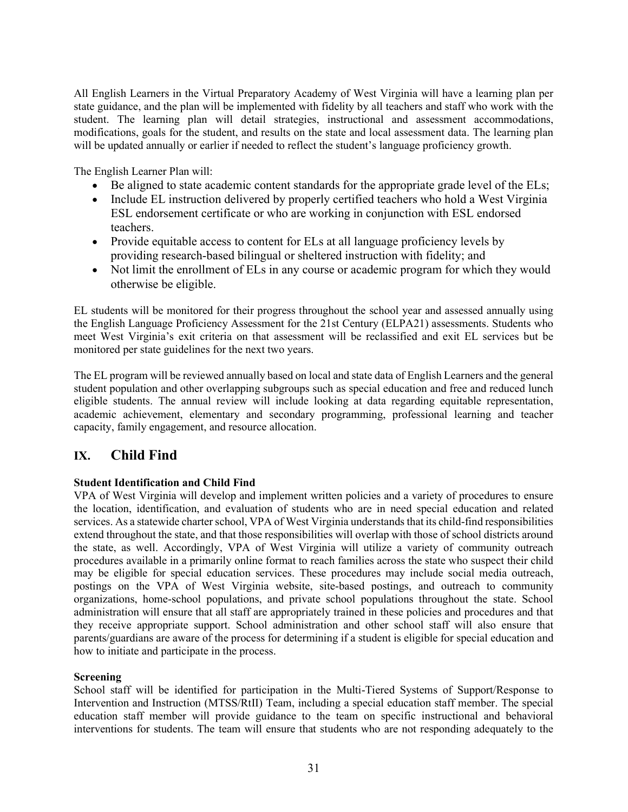All English Learners in the Virtual Preparatory Academy of West Virginia will have a learning plan per state guidance, and the plan will be implemented with fidelity by all teachers and staff who work with the student. The learning plan will detail strategies, instructional and assessment accommodations, modifications, goals for the student, and results on the state and local assessment data. The learning plan will be updated annually or earlier if needed to reflect the student's language proficiency growth.

The English Learner Plan will:

- Be aligned to state academic content standards for the appropriate grade level of the ELs;
- Include EL instruction delivered by properly certified teachers who hold a West Virginia ESL endorsement certificate or who are working in conjunction with ESL endorsed teachers.
- Provide equitable access to content for ELs at all language proficiency levels by providing research-based bilingual or sheltered instruction with fidelity; and
- Not limit the enrollment of ELs in any course or academic program for which they would otherwise be eligible.

EL students will be monitored for their progress throughout the school year and assessed annually using the English Language Proficiency Assessment for the 21st Century (ELPA21) assessments. Students who meet West Virginia's exit criteria on that assessment will be reclassified and exit EL services but be monitored per state guidelines for the next two years.

The EL program will be reviewed annually based on local and state data of English Learners and the general student population and other overlapping subgroups such as special education and free and reduced lunch eligible students. The annual review will include looking at data regarding equitable representation, academic achievement, elementary and secondary programming, professional learning and teacher capacity, family engagement, and resource allocation.

# IX. Child Find

# Student Identification and Child Find

VPA of West Virginia will develop and implement written policies and a variety of procedures to ensure the location, identification, and evaluation of students who are in need special education and related services. As a statewide charter school, VPA of West Virginia understands that its child-find responsibilities extend throughout the state, and that those responsibilities will overlap with those of school districts around the state, as well. Accordingly, VPA of West Virginia will utilize a variety of community outreach procedures available in a primarily online format to reach families across the state who suspect their child may be eligible for special education services. These procedures may include social media outreach, postings on the VPA of West Virginia website, site-based postings, and outreach to community organizations, home-school populations, and private school populations throughout the state. School administration will ensure that all staff are appropriately trained in these policies and procedures and that they receive appropriate support. School administration and other school staff will also ensure that parents/guardians are aware of the process for determining if a student is eligible for special education and how to initiate and participate in the process.

# Screening

School staff will be identified for participation in the Multi-Tiered Systems of Support/Response to Intervention and Instruction (MTSS/RtII) Team, including a special education staff member. The special education staff member will provide guidance to the team on specific instructional and behavioral interventions for students. The team will ensure that students who are not responding adequately to the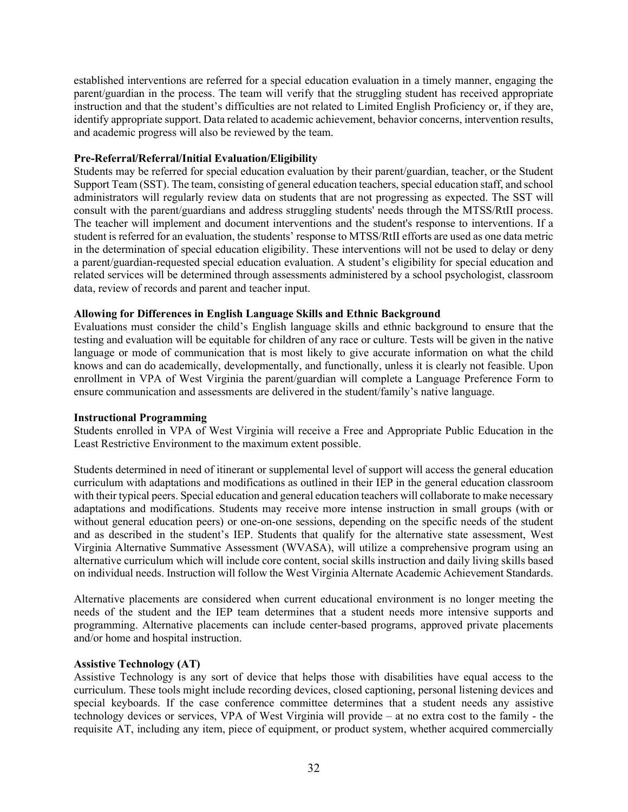established interventions are referred for a special education evaluation in a timely manner, engaging the parent/guardian in the process. The team will verify that the struggling student has received appropriate instruction and that the student's difficulties are not related to Limited English Proficiency or, if they are, identify appropriate support. Data related to academic achievement, behavior concerns, intervention results, and academic progress will also be reviewed by the team.

# Pre-Referral/Referral/Initial Evaluation/Eligibility

Students may be referred for special education evaluation by their parent/guardian, teacher, or the Student Support Team (SST). The team, consisting of general education teachers, special education staff, and school administrators will regularly review data on students that are not progressing as expected. The SST will consult with the parent/guardians and address struggling students' needs through the MTSS/RtII process. The teacher will implement and document interventions and the student's response to interventions. If a student is referred for an evaluation, the students' response to MTSS/RtII efforts are used as one data metric in the determination of special education eligibility. These interventions will not be used to delay or deny a parent/guardian-requested special education evaluation. A student's eligibility for special education and related services will be determined through assessments administered by a school psychologist, classroom data, review of records and parent and teacher input.

# Allowing for Differences in English Language Skills and Ethnic Background

Evaluations must consider the child's English language skills and ethnic background to ensure that the testing and evaluation will be equitable for children of any race or culture. Tests will be given in the native language or mode of communication that is most likely to give accurate information on what the child knows and can do academically, developmentally, and functionally, unless it is clearly not feasible. Upon enrollment in VPA of West Virginia the parent/guardian will complete a Language Preference Form to ensure communication and assessments are delivered in the student/family's native language.

# Instructional Programming

Students enrolled in VPA of West Virginia will receive a Free and Appropriate Public Education in the Least Restrictive Environment to the maximum extent possible.

Students determined in need of itinerant or supplemental level of support will access the general education curriculum with adaptations and modifications as outlined in their IEP in the general education classroom with their typical peers. Special education and general education teachers will collaborate to make necessary adaptations and modifications. Students may receive more intense instruction in small groups (with or without general education peers) or one-on-one sessions, depending on the specific needs of the student and as described in the student's IEP. Students that qualify for the alternative state assessment, West Virginia Alternative Summative Assessment (WVASA), will utilize a comprehensive program using an alternative curriculum which will include core content, social skills instruction and daily living skills based on individual needs. Instruction will follow the West Virginia Alternate Academic Achievement Standards.

Alternative placements are considered when current educational environment is no longer meeting the needs of the student and the IEP team determines that a student needs more intensive supports and programming. Alternative placements can include center-based programs, approved private placements and/or home and hospital instruction.

# Assistive Technology (AT)

Assistive Technology is any sort of device that helps those with disabilities have equal access to the curriculum. These tools might include recording devices, closed captioning, personal listening devices and special keyboards. If the case conference committee determines that a student needs any assistive technology devices or services, VPA of West Virginia will provide – at no extra cost to the family - the requisite AT, including any item, piece of equipment, or product system, whether acquired commercially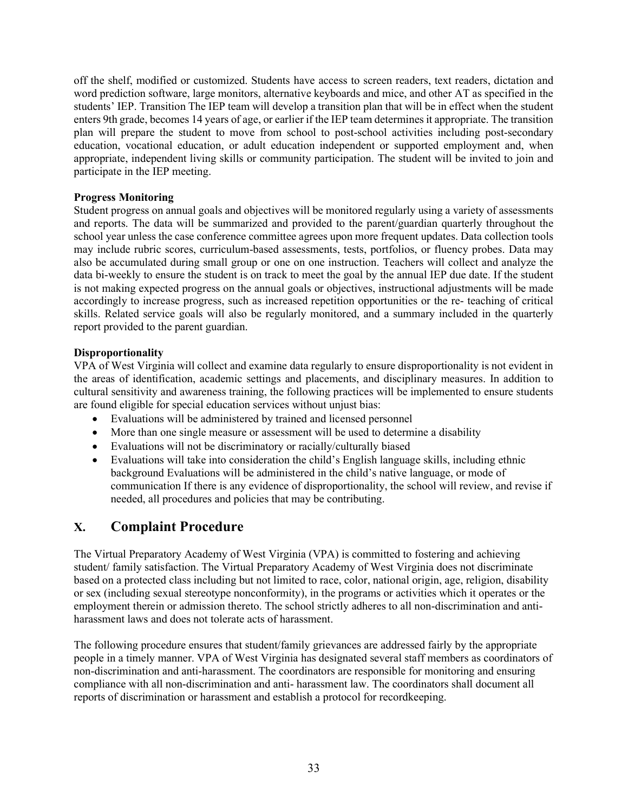off the shelf, modified or customized. Students have access to screen readers, text readers, dictation and word prediction software, large monitors, alternative keyboards and mice, and other AT as specified in the students' IEP. Transition The IEP team will develop a transition plan that will be in effect when the student enters 9th grade, becomes 14 years of age, or earlier if the IEP team determines it appropriate. The transition plan will prepare the student to move from school to post-school activities including post-secondary education, vocational education, or adult education independent or supported employment and, when appropriate, independent living skills or community participation. The student will be invited to join and participate in the IEP meeting.

# Progress Monitoring

Student progress on annual goals and objectives will be monitored regularly using a variety of assessments and reports. The data will be summarized and provided to the parent/guardian quarterly throughout the school year unless the case conference committee agrees upon more frequent updates. Data collection tools may include rubric scores, curriculum-based assessments, tests, portfolios, or fluency probes. Data may also be accumulated during small group or one on one instruction. Teachers will collect and analyze the data bi-weekly to ensure the student is on track to meet the goal by the annual IEP due date. If the student is not making expected progress on the annual goals or objectives, instructional adjustments will be made accordingly to increase progress, such as increased repetition opportunities or the re- teaching of critical skills. Related service goals will also be regularly monitored, and a summary included in the quarterly report provided to the parent guardian.

# Disproportionality

VPA of West Virginia will collect and examine data regularly to ensure disproportionality is not evident in the areas of identification, academic settings and placements, and disciplinary measures. In addition to cultural sensitivity and awareness training, the following practices will be implemented to ensure students are found eligible for special education services without unjust bias:

- Evaluations will be administered by trained and licensed personnel
- More than one single measure or assessment will be used to determine a disability
- Evaluations will not be discriminatory or racially/culturally biased
- Evaluations will take into consideration the child's English language skills, including ethnic background Evaluations will be administered in the child's native language, or mode of communication If there is any evidence of disproportionality, the school will review, and revise if needed, all procedures and policies that may be contributing.

# X. Complaint Procedure

The Virtual Preparatory Academy of West Virginia (VPA) is committed to fostering and achieving student/ family satisfaction. The Virtual Preparatory Academy of West Virginia does not discriminate based on a protected class including but not limited to race, color, national origin, age, religion, disability or sex (including sexual stereotype nonconformity), in the programs or activities which it operates or the employment therein or admission thereto. The school strictly adheres to all non-discrimination and antiharassment laws and does not tolerate acts of harassment.

The following procedure ensures that student/family grievances are addressed fairly by the appropriate people in a timely manner. VPA of West Virginia has designated several staff members as coordinators of non-discrimination and anti-harassment. The coordinators are responsible for monitoring and ensuring compliance with all non-discrimination and anti- harassment law. The coordinators shall document all reports of discrimination or harassment and establish a protocol for recordkeeping.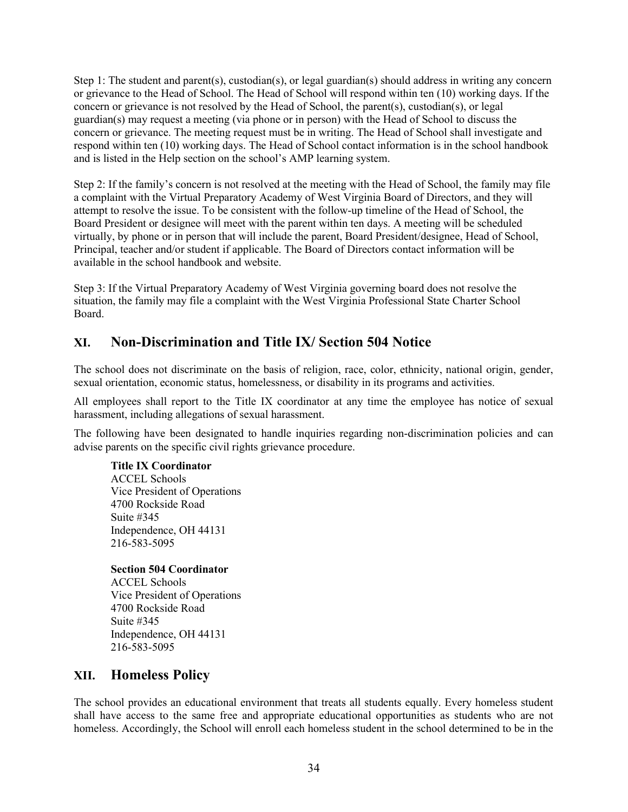Step 1: The student and parent(s), custodian(s), or legal guardian(s) should address in writing any concern or grievance to the Head of School. The Head of School will respond within ten (10) working days. If the concern or grievance is not resolved by the Head of School, the parent(s), custodian(s), or legal guardian(s) may request a meeting (via phone or in person) with the Head of School to discuss the concern or grievance. The meeting request must be in writing. The Head of School shall investigate and respond within ten (10) working days. The Head of School contact information is in the school handbook and is listed in the Help section on the school's AMP learning system.

Step 2: If the family's concern is not resolved at the meeting with the Head of School, the family may file a complaint with the Virtual Preparatory Academy of West Virginia Board of Directors, and they will attempt to resolve the issue. To be consistent with the follow-up timeline of the Head of School, the Board President or designee will meet with the parent within ten days. A meeting will be scheduled virtually, by phone or in person that will include the parent, Board President/designee, Head of School, Principal, teacher and/or student if applicable. The Board of Directors contact information will be available in the school handbook and website.

Step 3: If the Virtual Preparatory Academy of West Virginia governing board does not resolve the situation, the family may file a complaint with the West Virginia Professional State Charter School Board.

# XI. Non-Discrimination and Title IX/ Section 504 Notice

The school does not discriminate on the basis of religion, race, color, ethnicity, national origin, gender, sexual orientation, economic status, homelessness, or disability in its programs and activities.

All employees shall report to the Title IX coordinator at any time the employee has notice of sexual harassment, including allegations of sexual harassment.

The following have been designated to handle inquiries regarding non-discrimination policies and can advise parents on the specific civil rights grievance procedure.

Title IX Coordinator

ACCEL Schools Vice President of Operations 4700 Rockside Road Suite #345 Independence, OH 44131 216-583-5095

Section 504 Coordinator

ACCEL Schools Vice President of Operations 4700 Rockside Road Suite #345 Independence, OH 44131 216-583-5095

# XII. Homeless Policy

The school provides an educational environment that treats all students equally. Every homeless student shall have access to the same free and appropriate educational opportunities as students who are not homeless. Accordingly, the School will enroll each homeless student in the school determined to be in the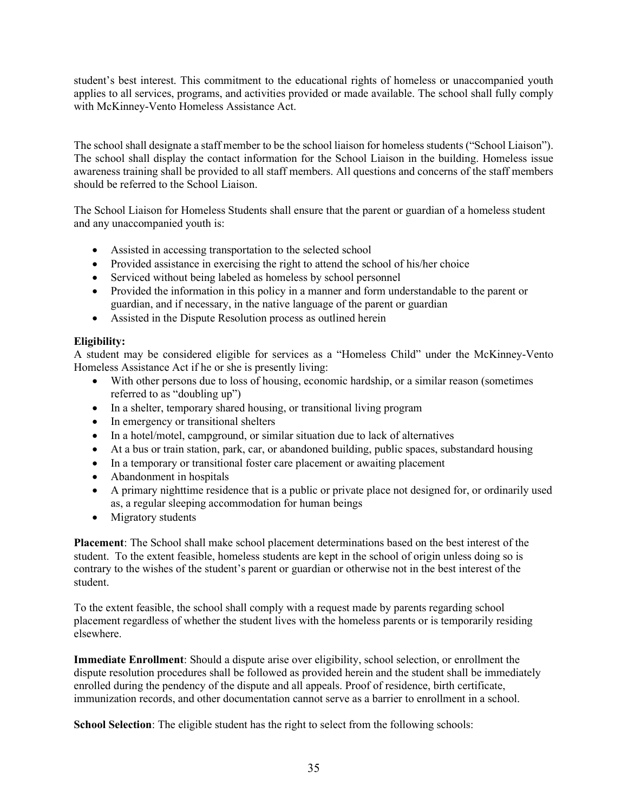student's best interest. This commitment to the educational rights of homeless or unaccompanied youth applies to all services, programs, and activities provided or made available. The school shall fully comply with McKinney-Vento Homeless Assistance Act.

The school shall designate a staff member to be the school liaison for homeless students ("School Liaison"). The school shall display the contact information for the School Liaison in the building. Homeless issue awareness training shall be provided to all staff members. All questions and concerns of the staff members should be referred to the School Liaison.

The School Liaison for Homeless Students shall ensure that the parent or guardian of a homeless student and any unaccompanied youth is:

- Assisted in accessing transportation to the selected school
- Provided assistance in exercising the right to attend the school of his/her choice
- Serviced without being labeled as homeless by school personnel
- Provided the information in this policy in a manner and form understandable to the parent or guardian, and if necessary, in the native language of the parent or guardian
- Assisted in the Dispute Resolution process as outlined herein

# Eligibility:

A student may be considered eligible for services as a "Homeless Child" under the McKinney-Vento Homeless Assistance Act if he or she is presently living:

- With other persons due to loss of housing, economic hardship, or a similar reason (sometimes referred to as "doubling up")
- In a shelter, temporary shared housing, or transitional living program
- In emergency or transitional shelters
- In a hotel/motel, campground, or similar situation due to lack of alternatives
- At a bus or train station, park, car, or abandoned building, public spaces, substandard housing
- In a temporary or transitional foster care placement or awaiting placement
- Abandonment in hospitals
- A primary nighttime residence that is a public or private place not designed for, or ordinarily used as, a regular sleeping accommodation for human beings
- Migratory students

Placement: The School shall make school placement determinations based on the best interest of the student. To the extent feasible, homeless students are kept in the school of origin unless doing so is contrary to the wishes of the student's parent or guardian or otherwise not in the best interest of the student.

To the extent feasible, the school shall comply with a request made by parents regarding school placement regardless of whether the student lives with the homeless parents or is temporarily residing elsewhere.

Immediate Enrollment: Should a dispute arise over eligibility, school selection, or enrollment the dispute resolution procedures shall be followed as provided herein and the student shall be immediately enrolled during the pendency of the dispute and all appeals. Proof of residence, birth certificate, immunization records, and other documentation cannot serve as a barrier to enrollment in a school.

School Selection: The eligible student has the right to select from the following schools: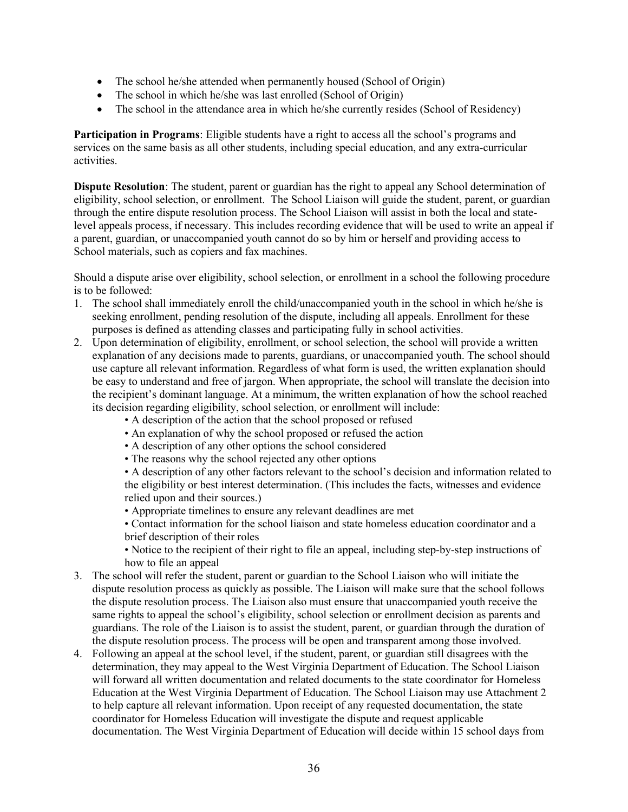- The school he/she attended when permanently housed (School of Origin)
- The school in which he/she was last enrolled (School of Origin)
- The school in the attendance area in which he/she currently resides (School of Residency)

Participation in Programs: Eligible students have a right to access all the school's programs and services on the same basis as all other students, including special education, and any extra-curricular activities.

Dispute Resolution: The student, parent or guardian has the right to appeal any School determination of eligibility, school selection, or enrollment. The School Liaison will guide the student, parent, or guardian through the entire dispute resolution process. The School Liaison will assist in both the local and statelevel appeals process, if necessary. This includes recording evidence that will be used to write an appeal if a parent, guardian, or unaccompanied youth cannot do so by him or herself and providing access to School materials, such as copiers and fax machines.

Should a dispute arise over eligibility, school selection, or enrollment in a school the following procedure is to be followed:

- 1. The school shall immediately enroll the child/unaccompanied youth in the school in which he/she is seeking enrollment, pending resolution of the dispute, including all appeals. Enrollment for these purposes is defined as attending classes and participating fully in school activities.
- 2. Upon determination of eligibility, enrollment, or school selection, the school will provide a written explanation of any decisions made to parents, guardians, or unaccompanied youth. The school should use capture all relevant information. Regardless of what form is used, the written explanation should be easy to understand and free of jargon. When appropriate, the school will translate the decision into the recipient's dominant language. At a minimum, the written explanation of how the school reached its decision regarding eligibility, school selection, or enrollment will include:
	- A description of the action that the school proposed or refused
	- An explanation of why the school proposed or refused the action
	- A description of any other options the school considered
	- The reasons why the school rejected any other options

• A description of any other factors relevant to the school's decision and information related to the eligibility or best interest determination. (This includes the facts, witnesses and evidence relied upon and their sources.)

• Appropriate timelines to ensure any relevant deadlines are met

• Contact information for the school liaison and state homeless education coordinator and a brief description of their roles

• Notice to the recipient of their right to file an appeal, including step-by-step instructions of how to file an appeal

- 3. The school will refer the student, parent or guardian to the School Liaison who will initiate the dispute resolution process as quickly as possible. The Liaison will make sure that the school follows the dispute resolution process. The Liaison also must ensure that unaccompanied youth receive the same rights to appeal the school's eligibility, school selection or enrollment decision as parents and guardians. The role of the Liaison is to assist the student, parent, or guardian through the duration of the dispute resolution process. The process will be open and transparent among those involved.
- 4. Following an appeal at the school level, if the student, parent, or guardian still disagrees with the determination, they may appeal to the West Virginia Department of Education. The School Liaison will forward all written documentation and related documents to the state coordinator for Homeless Education at the West Virginia Department of Education. The School Liaison may use Attachment 2 to help capture all relevant information. Upon receipt of any requested documentation, the state coordinator for Homeless Education will investigate the dispute and request applicable documentation. The West Virginia Department of Education will decide within 15 school days from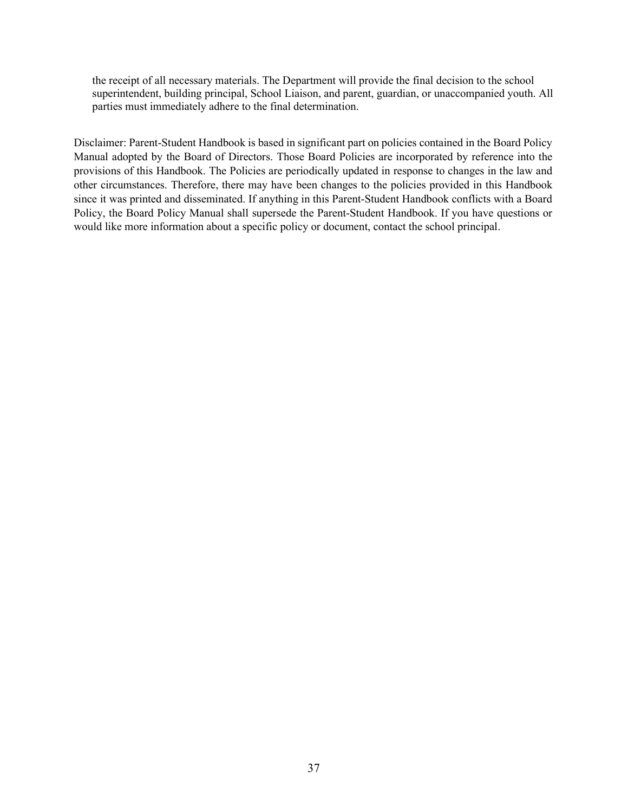the receipt of all necessary materials. The Department will provide the final decision to the school superintendent, building principal, School Liaison, and parent, guardian, or unaccompanied youth. All parties must immediately adhere to the final determination.

Disclaimer: Parent-Student Handbook is based in significant part on policies contained in the Board Policy Manual adopted by the Board of Directors. Those Board Policies are incorporated by reference into the provisions of this Handbook. The Policies are periodically updated in response to changes in the law and other circumstances. Therefore, there may have been changes to the policies provided in this Handbook since it was printed and disseminated. If anything in this Parent-Student Handbook conflicts with a Board Policy, the Board Policy Manual shall supersede the Parent-Student Handbook. If you have questions or would like more information about a specific policy or document, contact the school principal.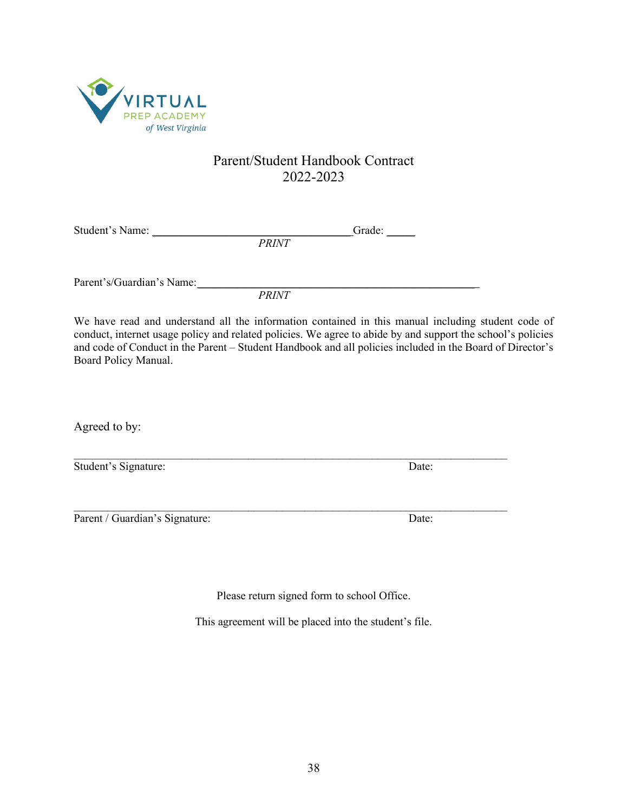

# Parent/Student Handbook Contract 2022-2023

Student's Name: \_\_\_\_\_\_\_\_\_\_\_\_\_\_\_\_\_\_\_\_\_\_\_\_\_\_\_\_\_\_\_\_\_\_\_ Grade: \_\_\_\_\_ PRINT

Parent's/Guardian's Name:

PRINT

We have read and understand all the information contained in this manual including student code of conduct, internet usage policy and related policies. We agree to abide by and support the school's policies and code of Conduct in the Parent – Student Handbook and all policies included in the Board of Director's Board Policy Manual.

 $\mathcal{L}_\mathcal{L} = \{ \mathcal{L}_\mathcal{L} = \{ \mathcal{L}_\mathcal{L} = \{ \mathcal{L}_\mathcal{L} = \{ \mathcal{L}_\mathcal{L} = \{ \mathcal{L}_\mathcal{L} = \{ \mathcal{L}_\mathcal{L} = \{ \mathcal{L}_\mathcal{L} = \{ \mathcal{L}_\mathcal{L} = \{ \mathcal{L}_\mathcal{L} = \{ \mathcal{L}_\mathcal{L} = \{ \mathcal{L}_\mathcal{L} = \{ \mathcal{L}_\mathcal{L} = \{ \mathcal{L}_\mathcal{L} = \{ \mathcal{L}_\mathcal{$ 

 $\mathcal{L}_\mathcal{L} = \{ \mathcal{L}_\mathcal{L} = \{ \mathcal{L}_\mathcal{L} = \{ \mathcal{L}_\mathcal{L} = \{ \mathcal{L}_\mathcal{L} = \{ \mathcal{L}_\mathcal{L} = \{ \mathcal{L}_\mathcal{L} = \{ \mathcal{L}_\mathcal{L} = \{ \mathcal{L}_\mathcal{L} = \{ \mathcal{L}_\mathcal{L} = \{ \mathcal{L}_\mathcal{L} = \{ \mathcal{L}_\mathcal{L} = \{ \mathcal{L}_\mathcal{L} = \{ \mathcal{L}_\mathcal{L} = \{ \mathcal{L}_\mathcal{$ 

Agreed to by:

| Student's Signature: | Date: |
|----------------------|-------|
|----------------------|-------|

Parent / Guardian's Signature: Date: Date:

Please return signed form to school Office.

This agreement will be placed into the student's file.